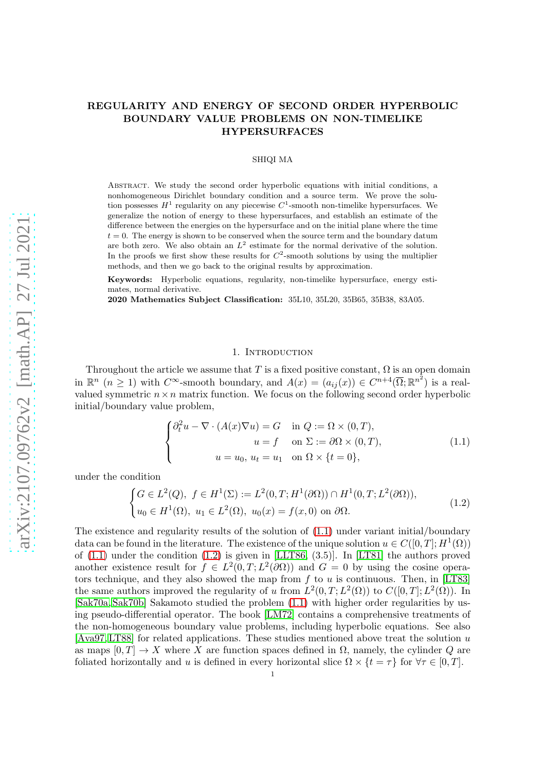# REGULARITY AND ENERGY OF SECOND ORDER HYPERBOLIC BOUNDARY VALUE PROBLEMS ON NON-TIMELIKE HYPERSURFACES

### SHIQI MA

Abstract. We study the second order hyperbolic equations with initial conditions, a nonhomogeneous Dirichlet boundary condition and a source term. We prove the solution possesses  $H^1$  regularity on any piecewise  $C^1$ -smooth non-timelike hypersurfaces. We generalize the notion of energy to these hypersurfaces, and establish an estimate of the difference between the energies on the hypersurface and on the initial plane where the time  $t = 0$ . The energy is shown to be conserved when the source term and the boundary datum are both zero. We also obtain an  $L^2$  estimate for the normal derivative of the solution. In the proofs we first show these results for  $C^2$ -smooth solutions by using the multiplier methods, and then we go back to the original results by approximation.

Keywords: Hyperbolic equations, regularity, non-timelike hypersurface, energy estimates, normal derivative.

2020 Mathematics Subject Classification: 35L10, 35L20, 35B65, 35B38, 83A05.

#### 1. INTRODUCTION

Throughout the article we assume that T is a fixed positive constant,  $\Omega$  is an open domain in  $\mathbb{R}^n$   $(n \geq 1)$  with  $C^{\infty}$ -smooth boundary, and  $A(x) = (a_{ij}(x)) \in C^{n+4}(\overline{\Omega}; \mathbb{R}^{n^2})$  is a realvalued symmetric  $n \times n$  matrix function. We focus on the following second order hyperbolic initial/boundary value problem,

<span id="page-0-0"></span>
$$
\begin{cases}\n\partial_t^2 u - \nabla \cdot (A(x)\nabla u) = G & \text{in } Q := \Omega \times (0, T), \\
u = f & \text{on } \Sigma := \partial \Omega \times (0, T), \\
u = u_0, u_t = u_1 & \text{on } \Omega \times \{t = 0\},\n\end{cases}
$$
\n(1.1)

under the condition

<span id="page-0-1"></span>
$$
\begin{cases} G \in L^{2}(Q), \ f \in H^{1}(\Sigma) := L^{2}(0, T; H^{1}(\partial \Omega)) \cap H^{1}(0, T; L^{2}(\partial \Omega)), \\ u_{0} \in H^{1}(\Omega), \ u_{1} \in L^{2}(\Omega), \ u_{0}(x) = f(x, 0) \text{ on } \partial \Omega. \end{cases}
$$
(1.2)

The existence and regularity results of the solution of [\(1.1\)](#page-0-0) under variant initial/boundary data can be found in the literature. The existence of the unique solution  $u \in C([0,T]; H^1(\Omega))$ of  $(1.1)$  under the condition  $(1.2)$  is given in [\[LLT86,](#page-20-0)  $(3.5)$ ]. In [\[LT81\]](#page-20-1) the authors proved another existence result for  $f \in L^2(0,T;L^2(\partial\Omega))$  and  $G=0$  by using the cosine opera-tors technique, and they also showed the map from f to u is continuous. Then, in [\[LT83\]](#page-20-2) the same authors improved the regularity of u from  $L^2(0,T;L^2(\Omega))$  to  $C([0,T];L^2(\Omega))$ . In [\[Sak70a,](#page-21-0) [Sak70b\]](#page-21-1) Sakamoto studied the problem [\(1.1\)](#page-0-0) with higher order regularities by using pseudo-differential operator. The book [\[LM72\]](#page-20-3) contains a comprehensive treatments of the non-homogeneous boundary value problems, including hyperbolic equations. See also [\[Ava97,](#page-20-4) [LT88\]](#page-20-5) for related applications. These studies mentioned above treat the solution u as maps  $[0, T] \rightarrow X$  where X are function spaces defined in  $\Omega$ , namely, the cylinder Q are foliated horizontally and u is defined in every horizontal slice  $\Omega \times \{t = \tau\}$  for  $\forall \tau \in [0, T]$ .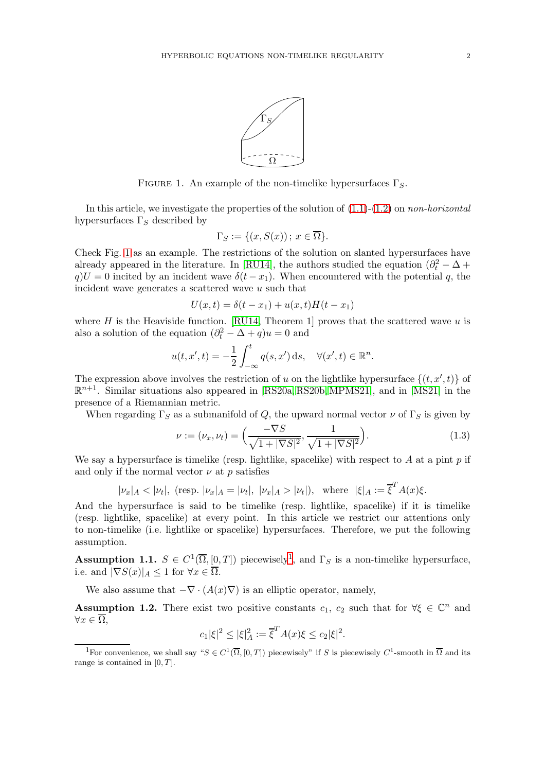

FIGURE 1. An example of the non-timelike hypersurfaces  $\Gamma_{S}$ .

In this article, we investigate the properties of the solution of  $(1.1)-(1.2)$  $(1.1)-(1.2)$  on non-horizontal hypersurfaces  $\Gamma_S$  described by

<span id="page-1-0"></span>
$$
\Gamma_S := \{ (x, S(x)) \, ; \, x \in \overline{\Omega} \}.
$$

Check Fig. [1](#page-1-0) as an example. The restrictions of the solution on slanted hypersurfaces have already appeared in the literature. In [\[RU14\]](#page-21-2), the authors studied the equation  $(\partial_t^2 - \Delta +$  $q$ U = 0 incited by an incident wave  $\delta(t - x_1)$ . When encountered with the potential q, the incident wave generates a scattered wave u such that

$$
U(x,t) = \delta(t - x_1) + u(x,t)H(t - x_1)
$$

where H is the Heaviside function. [\[RU14,](#page-21-2) Theorem 1] proves that the scattered wave u is also a solution of the equation  $(\partial_t^2 - \Delta + q)u = 0$  and

$$
u(t, x', t) = -\frac{1}{2} \int_{-\infty}^{t} q(s, x') ds, \quad \forall (x', t) \in \mathbb{R}^{n}.
$$

The expression above involves the restriction of u on the lightlike hypersurface  $\{(t, x', t)\}$  of  $\mathbb{R}^{n+1}$ . Similar situations also appeared in [\[RS20a,](#page-21-3) [RS20b,](#page-21-4) [MPMS21\]](#page-20-6), and in [\[MS21\]](#page-20-7) in the presence of a Riemannian metric.

When regarding  $\Gamma_S$  as a submanifold of Q, the upward normal vector  $\nu$  of  $\Gamma_S$  is given by

<span id="page-1-4"></span>
$$
\nu := (\nu_x, \nu_t) = \left(\frac{-\nabla S}{\sqrt{1 + |\nabla S|^2}}, \frac{1}{\sqrt{1 + |\nabla S|^2}}\right).
$$
\n(1.3)

We say a hypersurface is timelike (resp. lightlike, spacelike) with respect to A at a pint  $p$  if and only if the normal vector  $\nu$  at p satisfies

$$
|\nu_x|_A < |\nu_t|
$$
, (resp.  $|\nu_x|_A = |\nu_t|$ ,  $|\nu_x|_A > |\nu_t|$ ), where  $|\xi|_A := \overline{\xi}^T A(x)\xi$ .

And the hypersurface is said to be timelike (resp. lightlike, spacelike) if it is timelike (resp. lightlike, spacelike) at every point. In this article we restrict our attentions only to non-timelike (i.e. lightlike or spacelike) hypersurfaces. Therefore, we put the following assumption.

<span id="page-1-2"></span>**Assumption [1](#page-1-1).1.**  $S \in C^1(\overline{\Omega}, [0, T])$  piecewisely<sup>1</sup>, and  $\Gamma_S$  is a non-timelike hypersurface, i.e. and  $|\nabla S(x)|_A \leq 1$  for  $\forall x \in \Omega$ .

We also assume that  $-\nabla \cdot (A(x)\nabla)$  is an elliptic operator, namely,

<span id="page-1-3"></span>**Assumption 1.2.** There exist two positive constants  $c_1$ ,  $c_2$  such that for  $\forall \xi \in \mathbb{C}^n$  and  $\forall x \in \overline{\Omega},$ 

$$
c_1|\xi|^2 \le |\xi|_A^2 := \overline{\xi}^T A(x)\xi \le c_2|\xi|^2.
$$

<span id="page-1-1"></span><sup>&</sup>lt;sup>1</sup>For convenience, we shall say " $S \in C^1(\overline{\Omega}, [0,T])$  piecewisely" if S is piecewisely  $C^1$ -smooth in  $\overline{\Omega}$  and its range is contained in  $[0, T]$ .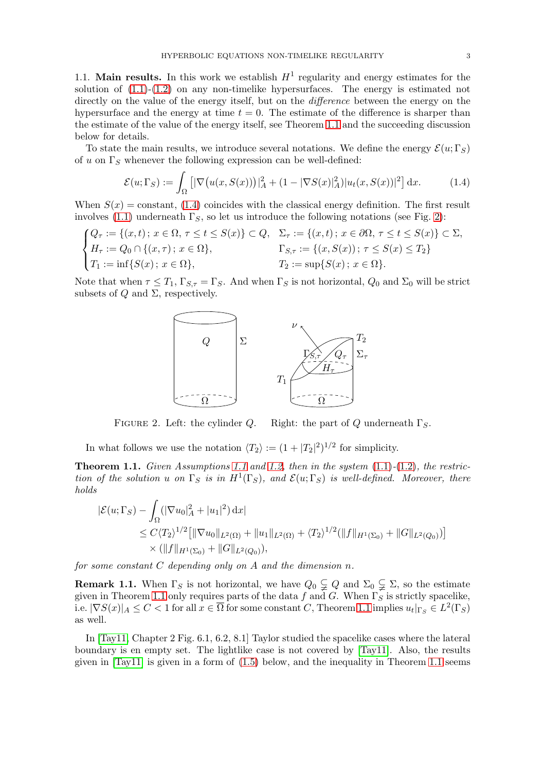1.1. Main results. In this work we establish  $H^1$  regularity and energy estimates for the solution of  $(1.1)-(1.2)$  $(1.1)-(1.2)$  on any non-timelike hypersurfaces. The energy is estimated not directly on the value of the energy itself, but on the *difference* between the energy on the hypersurface and the energy at time  $t = 0$ . The estimate of the difference is sharper than

To state the main results, we introduce several notations. We define the energy  $\mathcal{E}(u; \Gamma_S)$ of u on  $\Gamma_S$  whenever the following expression can be well-defined:

the estimate of the value of the energy itself, see Theorem [1.1](#page-2-0) and the succeeding discussion

below for details.

<span id="page-2-1"></span>
$$
\mathcal{E}(u; \Gamma_S) := \int_{\Omega} \left[ |\nabla \big( u(x, S(x)) \big) |_{A}^{2} + (1 - |\nabla S(x)|_{A}^{2}) |u_t(x, S(x))|^{2} \right] dx. \tag{1.4}
$$

When  $S(x) = constant$ , [\(1.4\)](#page-2-1) coincides with the classical energy definition. The first result involves [\(1.1\)](#page-0-0) underneath  $\Gamma_S$ , so let us introduce the following notations (see Fig. [2\)](#page-2-2):

$$
\begin{cases} Q_{\tau} := \{ (x, t) \, ; \, x \in \Omega, \, \tau \le t \le S(x) \} \subset Q, & \Sigma_{\tau} := \{ (x, t) \, ; \, x \in \partial \Omega, \, \tau \le t \le S(x) \} \subset \Sigma, \\ H_{\tau} := Q_0 \cap \{ (x, \tau) \, ; \, x \in \Omega \}, & \Gamma_{S, \tau} := \{ (x, S(x)) \, ; \, \tau \le S(x) \le T_2 \} \\ T_1 := \inf \{ S(x) \, ; \, x \in \Omega \}, & \Gamma_2 := \sup \{ S(x) \, ; \, x \in \Omega \}. \end{cases}
$$

Note that when  $\tau \leq T_1$ ,  $\Gamma_{S,\tau} = \Gamma_S$ . And when  $\Gamma_S$  is not horizontal,  $Q_0$  and  $\Sigma_0$  will be strict subsets of  $Q$  and  $\Sigma$ , respectively.



<span id="page-2-2"></span>FIGURE 2. Left: the cylinder Q. Right: the part of Q underneath  $\Gamma_S$ .

In what follows we use the notation  $\langle T_2 \rangle := (1 + |T_2|^2)^{1/2}$  for simplicity.

<span id="page-2-0"></span>**Theorem [1.1](#page-1-2).** Given Assumptions 1.1 and [1.2,](#page-1-3) then in the system  $(1.1)-(1.2)$  $(1.1)-(1.2)$  $(1.1)-(1.2)$ , the restriction of the solution u on  $\Gamma_S$  is in  $H^1(\Gamma_S)$ , and  $\mathcal{E}(u; \Gamma_S)$  is well-defined. Moreover, there holds

$$
\begin{aligned} |\mathcal{E}(u; \Gamma_S) - \int_{\Omega} (|\nabla u_0|_A^2 + |u_1|^2) \, dx| \\ &\leq C \langle T_2 \rangle^{1/2} \big[ \|\nabla u_0\|_{L^2(\Omega)} + \|u_1\|_{L^2(\Omega)} + \langle T_2 \rangle^{1/2} (\|f\|_{H^1(\Sigma_0)} + \|G\|_{L^2(Q_0)}) \big] \\ &\times (\|f\|_{H^1(\Sigma_0)} + \|G\|_{L^2(Q_0)}), \end{aligned}
$$

for some constant  $C$  depending only on  $A$  and the dimension  $n$ .

**Remark 1.1.** When  $\Gamma_S$  is not horizontal, we have  $Q_0 \subsetneq Q$  and  $\Sigma_0 \subsetneq \Sigma$ , so the estimate given in Theorem [1.1](#page-2-0) only requires parts of the data f and G. When  $\Gamma_{S}$  is strictly spacelike, i.e.  $|\nabla S(x)|_A \leq C < 1$  for all  $x \in \overline{\Omega}$  for some constant C, Theorem [1.1](#page-2-0) implies  $u_t|_{\Gamma_S} \in L^2(\Gamma_S)$ as well.

In [\[Tay11,](#page-21-5) Chapter 2 Fig. 6.1, 6.2, 8.1] Taylor studied the spacelike cases where the lateral boundary is en empty set. The lightlike case is not covered by [\[Tay11\]](#page-21-5). Also, the results given in  $[Tay11]$  is given in a form of  $(1.5)$  below, and the inequality in Theorem [1.1](#page-2-0) seems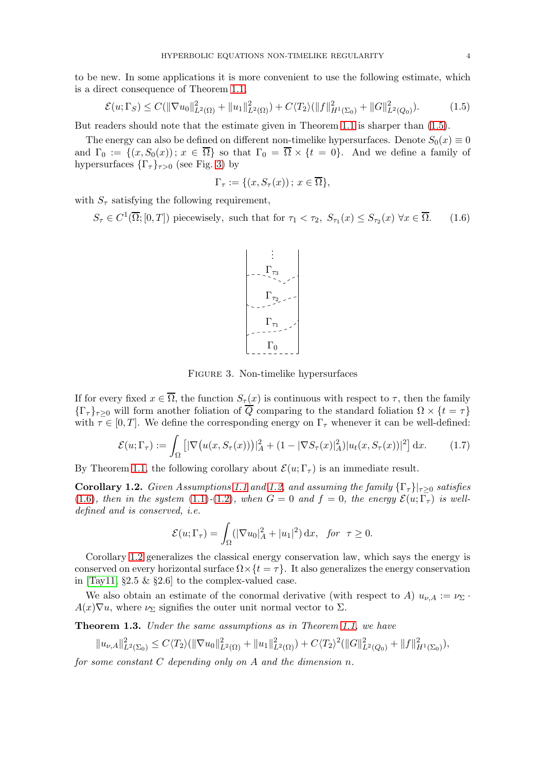to be new. In some applications it is more convenient to use the following estimate, which is a direct consequence of Theorem [1.1,](#page-2-0)

<span id="page-3-0"></span>
$$
\mathcal{E}(u; \Gamma_S) \le C(\|\nabla u_0\|_{L^2(\Omega)}^2 + \|u_1\|_{L^2(\Omega)}^2) + C\langle T_2 \rangle (\|f\|_{H^1(\Sigma_0)}^2 + \|G\|_{L^2(Q_0)}^2). \tag{1.5}
$$

But readers should note that the estimate given in Theorem [1.1](#page-2-0) is sharper than [\(1.5\)](#page-3-0).

The energy can also be defined on different non-timelike hypersurfaces. Denote  $S_0(x) \equiv 0$ and  $\Gamma_0 := \{(x, S_0(x))\colon x \in \overline{\Omega}\}\$  so that  $\Gamma_0 = \overline{\Omega} \times \{t = 0\}\$ . And we define a family of hypersurfaces  $\{\Gamma_{\tau}\}_{{\tau}>0}$  (see Fig. [3\)](#page-3-1) by

$$
\Gamma_{\tau} := \{ (x, S_{\tau}(x)) \, ; \, x \in \overline{\Omega} \},
$$

with  $S_{\tau}$  satisfying the following requirement,

<span id="page-3-2"></span> $S_{\tau} \in C^{1}(\overline{\Omega};[0,T])$  piecewisely, such that for  $\tau_1 < \tau_2$ ,  $S_{\tau_1}(x) \leq S_{\tau_2}(x) \ \forall x \in \overline{\Omega}$ . (1.6)



<span id="page-3-1"></span>Figure 3. Non-timelike hypersurfaces

If for every fixed  $x \in \overline{\Omega}$ , the function  $S_{\tau}(x)$  is continuous with respect to  $\tau$ , then the family  ${\{\Gamma_{\tau}\}}_{\tau>0}$  will form another foliation of  $\overline{Q}$  comparing to the standard foliation  $\Omega \times \{t = \tau\}$ with  $\tau \in [0, T]$ . We define the corresponding energy on  $\Gamma_{\tau}$  whenever it can be well-defined:

<span id="page-3-5"></span>
$$
\mathcal{E}(u; \Gamma_\tau) := \int_{\Omega} \left[ |\nabla \big( u(x, S_\tau(x)) \big) |_{A}^2 + (1 - |\nabla S_\tau(x)|_A^2) |u_t(x, S_\tau(x))|^2 \right] dx. \tag{1.7}
$$

By Theorem [1.1,](#page-2-0) the following corollary about  $\mathcal{E}(u;\Gamma_\tau)$  is an immediate result.

<span id="page-3-3"></span>Corollary 1.2. Given Assumptions [1.1](#page-1-2) and [1.2,](#page-1-3) and assuming the family  $\{\Gamma_{\tau}\}\vert_{\tau\geq 0}$  satisfies [\(1.6\)](#page-3-2), then in the system [\(1.1\)](#page-0-0)-[\(1.2\)](#page-0-1), when  $G = 0$  and  $f = 0$ , the energy  $\mathcal{E}(u; \Gamma_\tau)$  is welldefined and is conserved, i.e.

$$
\mathcal{E}(u; \Gamma_{\tau}) = \int_{\Omega} (|\nabla u_0|_A^2 + |u_1|^2) \, \mathrm{d}x, \quad \text{for } \tau \ge 0.
$$

Corollary [1.2](#page-3-3) generalizes the classical energy conservation law, which says the energy is conserved on every horizontal surface  $\Omega \times \{t = \tau\}$ . It also generalizes the energy conservation in  $[Tay11, §2.5 \& §2.6]$  to the complex-valued case.

We also obtain an estimate of the conormal derivative (with respect to A)  $u_{\nu,A} := \nu_{\Sigma}$ .  $A(x)\nabla u$ , where  $\nu_{\Sigma}$  signifies the outer unit normal vector to  $\Sigma$ .

<span id="page-3-4"></span>Theorem 1.3. Under the same assumptions as in Theorem [1.1,](#page-2-0) we have

$$
||u_{\nu,A}||_{L^2(\Sigma_0)}^2 \le C\langle T_2\rangle(||\nabla u_0||_{L^2(\Omega)}^2 + ||u_1||_{L^2(\Omega)}^2) + C\langle T_2\rangle^2(||G||_{L^2(Q_0)}^2 + ||f||_{H^1(\Sigma_0)}^2),
$$

for some constant  $C$  depending only on  $A$  and the dimension  $n$ .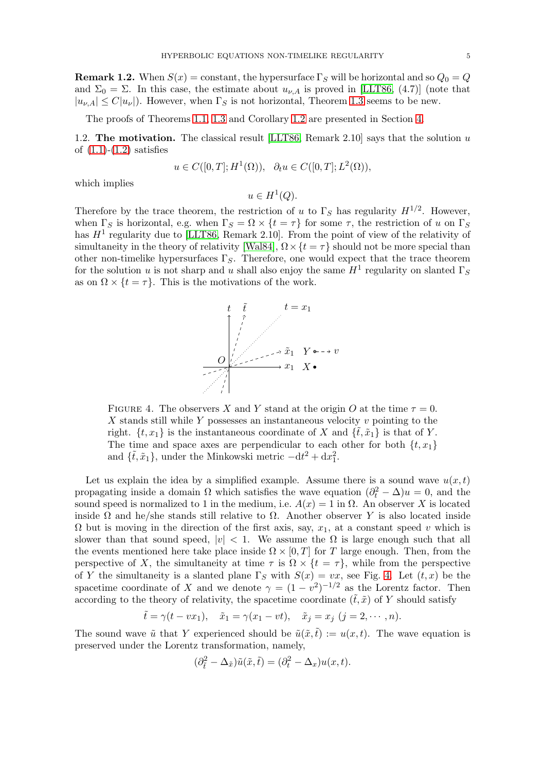**Remark 1.2.** When  $S(x) = \text{constant}$ , the hypersurface  $\Gamma_S$  will be horizontal and so  $Q_0 = Q$ and  $\Sigma_0 = \Sigma$ . In this case, the estimate about  $u_{\nu,A}$  is proved in [\[LLT86,](#page-20-0) (4.7)] (note that  $|u_{\nu,A}| \leq C |u_{\nu}|$ . However, when  $\Gamma_S$  is not horizontal, Theorem [1.3](#page-3-4) seems to be new.

The proofs of Theorems [1.1,](#page-2-0) [1.3](#page-3-4) and Corollary [1.2](#page-3-3) are presented in Section [4.](#page-15-0)

1.2. The motivation. The classical result [\[LLT86,](#page-20-0) Remark 2.10] says that the solution  $u$ of  $(1.1)-(1.2)$  $(1.1)-(1.2)$  satisfies

$$
u \in C([0,T];H^1(\Omega)), \quad \partial_t u \in C([0,T];L^2(\Omega)),
$$

which implies

 $u \in H^1(Q)$ .

Therefore by the trace theorem, the restriction of u to  $\Gamma_S$  has regularity  $H^{1/2}$ . However, when  $\Gamma_S$  is horizontal, e.g. when  $\Gamma_S = \Omega \times \{t = \tau\}$  for some  $\tau$ , the restriction of u on  $\Gamma_S$ has  $H^1$  regularity due to [\[LLT86,](#page-20-0) Remark 2.10]. From the point of view of the relativity of simultaneity in the theory of relativity [\[Wal84\]](#page-21-6),  $\Omega \times \{t = \tau\}$  should not be more special than other non-timelike hypersurfaces  $\Gamma_S$ . Therefore, one would expect that the trace theorem for the solution u is not sharp and u shall also enjoy the same  $H^1$  regularity on slanted  $\Gamma_S$ as on  $\Omega \times \{t = \tau\}$ . This is the motivations of the work.



<span id="page-4-0"></span>FIGURE 4. The observers X and Y stand at the origin O at the time  $\tau = 0$ . X stands still while Y possesses an instantaneous velocity  $v$  pointing to the right.  $\{t, x_1\}$  is the instantaneous coordinate of X and  $\{\tilde{t}, \tilde{x}_1\}$  is that of Y. The time and space axes are perpendicular to each other for both  $\{t, x_1\}$ and  $\{\tilde{t}, \tilde{x}_1\}$ , under the Minkowski metric  $-\mathrm{d}t^2 + \mathrm{d}x_1^2$ .

Let us explain the idea by a simplified example. Assume there is a sound wave  $u(x, t)$ propagating inside a domain  $\Omega$  which satisfies the wave equation  $(\partial_t^2 - \Delta)u = 0$ , and the sound speed is normalized to 1 in the medium, i.e.  $A(x) = 1$  in  $\Omega$ . An observer X is located inside  $\Omega$  and he/she stands still relative to  $\Omega$ . Another observer Y is also located inside  $\Omega$  but is moving in the direction of the first axis, say,  $x_1$ , at a constant speed v which is slower than that sound speed,  $|v| < 1$ . We assume the  $\Omega$  is large enough such that all the events mentioned here take place inside  $\Omega \times [0, T]$  for T large enough. Then, from the perspective of X, the simultaneity at time  $\tau$  is  $\Omega \times \{t = \tau\}$ , while from the perspective of Y the simultaneity is a slanted plane  $\Gamma_S$  with  $S(x) = vx$ , see Fig. [4.](#page-4-0) Let  $(t, x)$  be the spacetime coordinate of X and we denote  $\gamma = (1 - v^2)^{-1/2}$  as the Lorentz factor. Then according to the theory of relativity, the spacetime coordinate  $(\tilde{t}, \tilde{x})$  of Y should satisfy

$$
\tilde{t} = \gamma(t - vx_1), \quad \tilde{x}_1 = \gamma(x_1 - vt), \quad \tilde{x}_j = x_j \ (j = 2, \cdots, n).
$$

The sound wave  $\tilde{u}$  that Y experienced should be  $\tilde{u}(\tilde{x},\tilde{t}) := u(x,t)$ . The wave equation is preserved under the Lorentz transformation, namely,

$$
(\partial_{\tilde{t}}^2 - \Delta_{\tilde{x}})\tilde{u}(\tilde{x}, \tilde{t}) = (\partial_t^2 - \Delta_x)u(x, t).
$$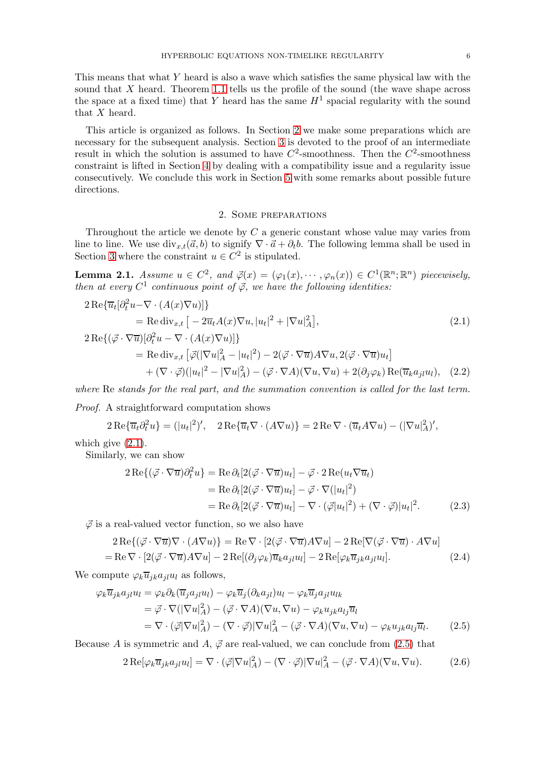This means that what Y heard is also a wave which satisfies the same physical law with the sound that X heard. Theorem [1.1](#page-2-0) tells us the profile of the sound (the wave shape across the space at a fixed time) that Y heard has the same  $H^1$  spacial regularity with the sound that X heard.

This article is organized as follows. In Section [2](#page-5-0) we make some preparations which are necessary for the subsequent analysis. Section [3](#page-8-0) is devoted to the proof of an intermediate result in which the solution is assumed to have  $C^2$ -smoothness. Then the  $C^2$ -smoothness constraint is lifted in Section [4](#page-15-0) by dealing with a compatibility issue and a regularity issue consecutively. We conclude this work in Section [5](#page-20-8) with some remarks about possible future directions.

### <span id="page-5-6"></span><span id="page-5-1"></span>2. Some preparations

<span id="page-5-0"></span>Throughout the article we denote by C a generic constant whose value may varies from line to line. We use  $\text{div}_{x,t}(\vec{a}, b)$  to signify  $\nabla \cdot \vec{a} + \partial_t b$ . The following lemma shall be used in Section [3](#page-8-0) where the constraint  $u \in C^2$  is stipulated.

**Lemma 2.1.** Assume  $u \in C^2$ , and  $\vec{\varphi}(x) = (\varphi_1(x), \dots, \varphi_n(x)) \in C^1(\mathbb{R}^n; \mathbb{R}^n)$  piecewisely, then at every  $C^1$  continuous point of  $\vec{\varphi}$ , we have the following identities:

$$
2 \operatorname{Re}\{\overline{u}_t[\partial_t^2 u - \nabla \cdot (A(x)\nabla u)]\}
$$
  
= Re div<sub>x,t</sub> [-2\overline{u}\_t A(x)\nabla u, |u\_t|^2 + |\nabla u|\_A^2],  

$$
2 \operatorname{Re}\{(\vec{\varphi} \cdot \nabla \overline{u})[\partial_t^2 u - \nabla \cdot (A(x)\nabla u)]\}
$$
 (2.1)

$$
= \text{Re} \operatorname{div}_{x,t} \left[ \vec{\varphi} (|\nabla u|_A^2 - |u_t|^2) - 2(\vec{\varphi} \cdot \nabla \overline{u}) A \nabla u, 2(\vec{\varphi} \cdot \nabla \overline{u}) u_t \right] + (\nabla \cdot \vec{\varphi}) (|u_t|^2 - |\nabla u|_A^2) - (\vec{\varphi} \cdot \nabla A)(\nabla u, \nabla u) + 2(\partial_j \varphi_k) \text{Re}(\overline{u}_k a_{jl} u_l), \quad (2.2)
$$

where Re stands for the real part, and the summation convention is called for the last term.

Proof. A straightforward computation shows

$$
2\operatorname{Re}\{\overline{u}_t\partial_t^2u\} = (|u_t|^2)', \quad 2\operatorname{Re}\{\overline{u}_t\nabla\cdot(A\nabla u)\} = 2\operatorname{Re}\nabla\cdot(\overline{u}_t A\nabla u) - (|\nabla u|_A^2)',
$$

which give  $(2.1)$ .

Similarly, we can show

<span id="page-5-5"></span><span id="page-5-3"></span>
$$
2 \operatorname{Re}\{ (\vec{\varphi} \cdot \nabla \overline{u}) \partial_t^2 u \} = \operatorname{Re} \partial_t [2(\vec{\varphi} \cdot \nabla \overline{u}) u_t] - \vec{\varphi} \cdot 2 \operatorname{Re}(u_t \nabla \overline{u}_t)
$$
  
\n
$$
= \operatorname{Re} \partial_t [2(\vec{\varphi} \cdot \nabla \overline{u}) u_t] - \vec{\varphi} \cdot \nabla (|u_t|^2)
$$
  
\n
$$
= \operatorname{Re} \partial_t [2(\vec{\varphi} \cdot \nabla \overline{u}) u_t] - \nabla \cdot (\vec{\varphi} |u_t|^2) + (\nabla \cdot \vec{\varphi}) |u_t|^2. \tag{2.3}
$$

 $\vec{\varphi}$  is a real-valued vector function, so we also have

$$
2 \operatorname{Re}\{ (\vec{\varphi} \cdot \nabla \overline{u}) \nabla \cdot (A \nabla u) \} = \operatorname{Re} \nabla \cdot [2(\vec{\varphi} \cdot \nabla \overline{u}) A \nabla u] - 2 \operatorname{Re} [\nabla (\vec{\varphi} \cdot \nabla \overline{u}) \cdot A \nabla u]
$$
  
= Re  $\nabla \cdot [2(\vec{\varphi} \cdot \nabla \overline{u}) A \nabla u] - 2 \operatorname{Re} [(\partial_j \varphi_k) \overline{u}_k a_{jl} u_l] - 2 \operatorname{Re} [\varphi_k \overline{u}_j k a_{jl} u_l].$  (2.4)

We compute  $\varphi_k \overline{u}_{ik} a_{il} u_l$  as follows,

$$
\varphi_k \overline{u}_{jk} a_{jl} u_l = \varphi_k \partial_k (\overline{u}_j a_{jl} u_l) - \varphi_k \overline{u}_j (\partial_k a_{jl}) u_l - \varphi_k \overline{u}_j a_{jl} u_{lk}
$$
  
\n
$$
= \vec{\varphi} \cdot \nabla (|\nabla u|_A^2) - (\vec{\varphi} \cdot \nabla A)(\nabla u, \nabla u) - \varphi_k u_{jk} a_{lj} \overline{u}_l
$$
  
\n
$$
= \nabla \cdot (\vec{\varphi} |\nabla u|_A^2) - (\nabla \cdot \vec{\varphi}) |\nabla u|_A^2 - (\vec{\varphi} \cdot \nabla A)(\nabla u, \nabla u) - \varphi_k u_{jk} a_{lj} \overline{u}_l. \tag{2.5}
$$

Because A is symmetric and A,  $\vec{\varphi}$  are real-valued, we can conclude from [\(2.5\)](#page-5-2) that

<span id="page-5-4"></span><span id="page-5-2"></span>
$$
2 \operatorname{Re}[\varphi_k \overline{u}_{jk} a_{jl} u_l] = \nabla \cdot (\vec{\varphi} |\nabla u|_A^2) - (\nabla \cdot \vec{\varphi}) |\nabla u|_A^2 - (\vec{\varphi} \cdot \nabla A)(\nabla u, \nabla u). \tag{2.6}
$$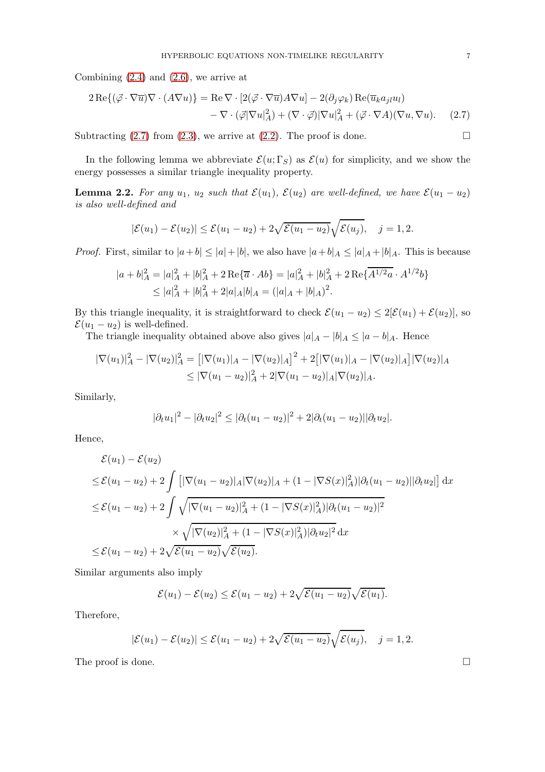Combining  $(2.4)$  and  $(2.6)$ , we arrive at

$$
2 \operatorname{Re}\{(\vec{\varphi} \cdot \nabla \overline{u}) \nabla \cdot (A \nabla u)\} = \operatorname{Re} \nabla \cdot [2(\vec{\varphi} \cdot \nabla \overline{u}) A \nabla u] - 2(\partial_j \varphi_k) \operatorname{Re}(\overline{u}_k a_{jl} u_l) - \nabla \cdot (\vec{\varphi} |\nabla u|_A^2) + (\nabla \cdot \vec{\varphi}) |\nabla u|_A^2 + (\vec{\varphi} \cdot \nabla A)(\nabla u, \nabla u). \tag{2.7}
$$

Subtracting  $(2.7)$  from  $(2.3)$ , we arrive at  $(2.2)$ . The proof is done.

In the following lemma we abbreviate  $\mathcal{E}(u; \Gamma_S)$  as  $\mathcal{E}(u)$  for simplicity, and we show the energy possesses a similar triangle inequality property.

<span id="page-6-1"></span>**Lemma 2.2.** For any  $u_1$ ,  $u_2$  such that  $\mathcal{E}(u_1)$ ,  $\mathcal{E}(u_2)$  are well-defined, we have  $\mathcal{E}(u_1 - u_2)$ is also well-defined and

<span id="page-6-0"></span>
$$
|\mathcal{E}(u_1)-\mathcal{E}(u_2)|\leq \mathcal{E}(u_1-u_2)+2\sqrt{\mathcal{E}(u_1-u_2)}\sqrt{\mathcal{E}(u_j)},\quad j=1,2.
$$

*Proof.* First, similar to  $|a+b| \leq |a|+|b|$ , we also have  $|a+b|_A \leq |a|_A + |b|_A$ . This is because

$$
|a+b|_A^2 = |a|_A^2 + |b|_A^2 + 2\operatorname{Re}\{\overline{a} \cdot Ab\} = |a|_A^2 + |b|_A^2 + 2\operatorname{Re}\{\overline{A^{1/2}a} \cdot A^{1/2}b\}
$$
  
 
$$
\leq |a|_A^2 + |b|_A^2 + 2|a|_A|b|_A = (|a|_A + |b|_A)^2.
$$

By this triangle inequality, it is straightforward to check  $\mathcal{E}(u_1 - u_2) \leq 2[\mathcal{E}(u_1) + \mathcal{E}(u_2)]$ , so  $\mathcal{E}(u_1 - u_2)$  is well-defined.

The triangle inequality obtained above also gives  $|a|_A - |b|_A \leq |a - b|_A$ . Hence

$$
|\nabla(u_1)|_A^2 - |\nabla(u_2)|_A^2 = [|\nabla(u_1)|_A - |\nabla(u_2)|_A]^2 + 2[|\nabla(u_1)|_A - |\nabla(u_2)|_A]|\nabla(u_2)|_A
$$
  
\n
$$
\leq |\nabla(u_1 - u_2)|_A^2 + 2|\nabla(u_1 - u_2)|_A|\nabla(u_2)|_A.
$$

Similarly,

$$
|\partial_t u_1|^2 - |\partial_t u_2|^2 \le |\partial_t (u_1 - u_2)|^2 + 2|\partial_t (u_1 - u_2)| |\partial_t u_2|.
$$

Hence,

$$
\mathcal{E}(u_1) - \mathcal{E}(u_2)
$$
  
\n
$$
\leq \mathcal{E}(u_1 - u_2) + 2 \int \left[ |\nabla(u_1 - u_2)|_A |\nabla(u_2)|_A + (1 - |\nabla S(x)|_A^2) |\partial_t(u_1 - u_2)| |\partial_t u_2| \right] dx
$$
  
\n
$$
\leq \mathcal{E}(u_1 - u_2) + 2 \int \sqrt{|\nabla(u_1 - u_2)|_A^2 + (1 - |\nabla S(x)|_A^2) |\partial_t(u_1 - u_2)|^2}
$$
  
\n
$$
\times \sqrt{|\nabla(u_2)|_A^2 + (1 - |\nabla S(x)|_A^2) |\partial_t u_2|^2} dx
$$
  
\n
$$
\leq \mathcal{E}(u_1 - u_2) + 2\sqrt{\mathcal{E}(u_1 - u_2)} \sqrt{\mathcal{E}(u_2)}.
$$

Similar arguments also imply

$$
\mathcal{E}(u_1)-\mathcal{E}(u_2)\leq \mathcal{E}(u_1-u_2)+2\sqrt{\mathcal{E}(u_1-u_2)}\sqrt{\mathcal{E}(u_1)}.
$$

Therefore,

$$
|\mathcal{E}(u_1)-\mathcal{E}(u_2)|\leq \mathcal{E}(u_1-u_2)+2\sqrt{\mathcal{E}(u_1-u_2)}\sqrt{\mathcal{E}(u_j)},\quad j=1,2.
$$

The proof is done.  $\Box$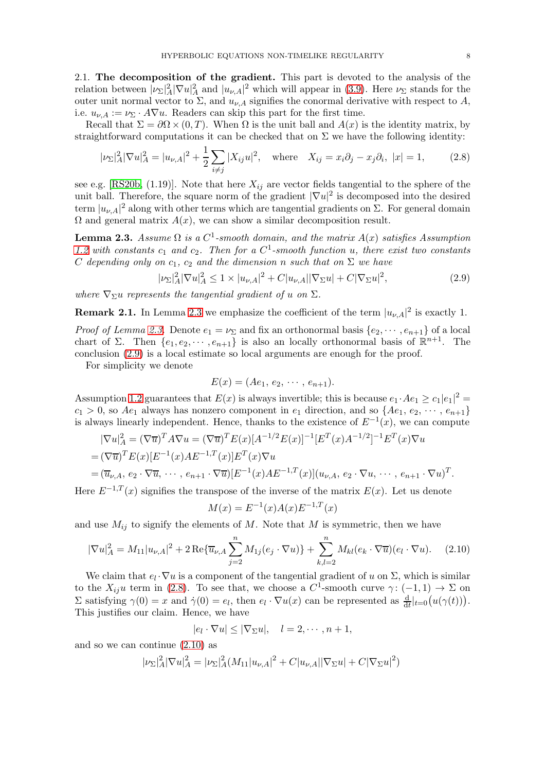2.1. The decomposition of the gradient. This part is devoted to the analysis of the relation between  $|\nu_{\Sigma}|^2_A |\nabla u|^2_A$  and  $|u_{\nu,A}|^2$  which will appear in [\(3.9\)](#page-11-0). Here  $\nu_{\Sigma}$  stands for the outer unit normal vector to  $\Sigma$ , and  $u_{\nu,A}$  signifies the conormal derivative with respect to  $A$ , i.e.  $u_{\nu,A} := \nu_{\Sigma} \cdot A \nabla u$ . Readers can skip this part for the first time.

Recall that  $\Sigma = \partial \Omega \times (0,T)$ . When  $\Omega$  is the unit ball and  $A(x)$  is the identity matrix, by straightforward computations it can be checked that on  $\Sigma$  we have the following identity:

<span id="page-7-2"></span>
$$
|\nu_{\Sigma}|_{A}^{2} |\nabla u|_{A}^{2} = |u_{\nu,A}|^{2} + \frac{1}{2} \sum_{i \neq j} |X_{ij} u|^{2}, \text{ where } X_{ij} = x_{i} \partial_{j} - x_{j} \partial_{i}, |x| = 1,
$$
 (2.8)

see e.g. [\[RS20b,](#page-21-4) (1.19)]. Note that here  $X_{ij}$  are vector fields tangential to the sphere of the unit ball. Therefore, the square norm of the gradient  $|\nabla u|^2$  is decomposed into the desired term  $|u_{\nu,A}|^2$  along with other terms which are tangential gradients on  $\Sigma$ . For general domain  $\Omega$  and general matrix  $A(x)$ , we can show a similar decomposition result.

<span id="page-7-0"></span>**Lemma 2.3.** Assume  $\Omega$  is a  $C^1$ -smooth domain, and the matrix  $A(x)$  satisfies Assumption [1.2](#page-1-3) with constants  $c_1$  and  $c_2$ . Then for a  $C^1$ -smooth function u, there exist two constants C depending only on  $c_1$ ,  $c_2$  and the dimension n such that on  $\Sigma$  we have

<span id="page-7-1"></span>
$$
|\nu_{\Sigma}|_{A}^{2} |\nabla u|_{A}^{2} \le 1 \times |u_{\nu,A}|^{2} + C|u_{\nu,A}||\nabla_{\Sigma} u| + C|\nabla_{\Sigma} u|^{2}, \tag{2.9}
$$

where  $\nabla_{\Sigma}u$  represents the tangential gradient of u on  $\Sigma$ .

**Remark 2.1.** In Lemma [2.3](#page-7-0) we emphasize the coefficient of the term  $|u_{\nu,A}|^2$  is exactly 1.

*Proof of Lemma [2.3.](#page-7-0)* Denote  $e_1 = \nu_{\Sigma}$  and fix an orthonormal basis  $\{e_2, \dots, e_{n+1}\}$  of a local chart of  $\Sigma$ . Then  $\{e_1, e_2, \dots, e_{n+1}\}$  is also an locally orthonormal basis of  $\mathbb{R}^{n+1}$ . The conclusion [\(2.9\)](#page-7-1) is a local estimate so local arguments are enough for the proof.

For simplicity we denote

$$
E(x) = (Ae_1, e_2, \cdots, e_{n+1}).
$$

Assumption [1.2](#page-1-3) guarantees that  $E(x)$  is always invertible; this is because  $e_1 \cdot Ae_1 \geq c_1|e_1|^2$  $c_1 > 0$ , so  $Ae_1$  always has nonzero component in  $e_1$  direction, and so  $\{Ae_1, e_2, \cdots, e_{n+1}\}$ is always linearly independent. Hence, thanks to the existence of  $E^{-1}(x)$ , we can compute

$$
|\nabla u|_{A}^{2} = (\nabla \overline{u})^{T} A \nabla u = (\nabla \overline{u})^{T} E(x) [A^{-1/2} E(x)]^{-1} [E^{T}(x) A^{-1/2}]^{-1} E^{T}(x) \nabla u
$$
  
=  $(\nabla \overline{u})^{T} E(x) [E^{-1}(x) A E^{-1,T}(x)] E^{T}(x) \nabla u$   
=  $(\overline{u}_{\nu,A}, e_{2} \cdot \nabla \overline{u}, \cdots, e_{n+1} \cdot \nabla \overline{u}) [E^{-1}(x) A E^{-1,T}(x)] (u_{\nu,A}, e_{2} \cdot \nabla u, \cdots, e_{n+1} \cdot \nabla u)^{T}.$ 

Here  $E^{-1,T}(x)$  signifies the transpose of the inverse of the matrix  $E(x)$ . Let us denote

$$
M(x) = E^{-1}(x)A(x)E^{-1,T}(x)
$$

and use  $M_{ij}$  to signify the elements of M. Note that M is symmetric, then we have

<span id="page-7-3"></span>
$$
|\nabla u|_{A}^{2} = M_{11}|u_{\nu,A}|^{2} + 2\operatorname{Re}\{\overline{u}_{\nu,A}\sum_{j=2}^{n} M_{1j}(e_j \cdot \nabla u)\} + \sum_{k,l=2}^{n} M_{kl}(e_k \cdot \nabla \overline{u})(e_l \cdot \nabla u). \tag{2.10}
$$

We claim that  $e_l \cdot \nabla u$  is a component of the tangential gradient of u on  $\Sigma$ , which is similar to the  $X_{ij}u$  term in [\(2.8\)](#page-7-2). To see that, we choose a  $C^1$ -smooth curve  $\gamma: (-1,1) \to \Sigma$  on  $\Sigma$  satisfying  $\gamma(0) = x$  and  $\dot{\gamma}(0) = e_l$ , then  $e_l \cdot \nabla u(x)$  can be represented as  $\frac{d}{dt}|_{t=0}(u(\gamma(t))).$ This justifies our claim. Hence, we have

$$
|e_l \cdot \nabla u| \leq |\nabla_\Sigma u|, \quad l = 2, \cdots, n+1,
$$

and so we can continue [\(2.10\)](#page-7-3) as

$$
|\nu_{\Sigma}|^2_A |\nabla u|^2_A = |\nu_{\Sigma}|^2_A (M_{11}|u_{\nu,A}|^2 + C|u_{\nu,A}||\nabla_{\Sigma} u| + C|\nabla_{\Sigma} u|^2)
$$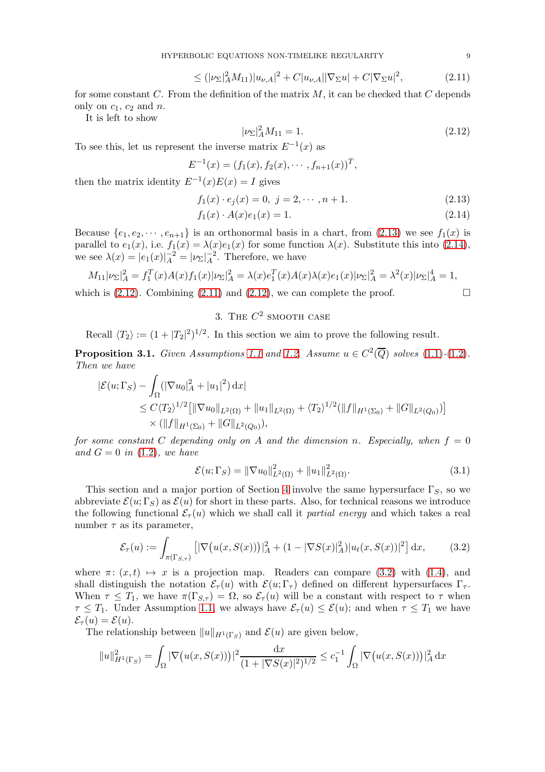HYPERBOLIC EQUATIONS NON-TIMELIKE REGULARITY 9

$$
\leq (|\nu_{\Sigma}|^2_A M_{11}) |u_{\nu,A}|^2 + C |u_{\nu,A}| |\nabla_{\Sigma} u| + C |\nabla_{\Sigma} u|^2, \tag{2.11}
$$

for some constant  $C$ . From the definition of the matrix  $M$ , it can be checked that  $C$  depends only on  $c_1$ ,  $c_2$  and  $n$ .

It is left to show

<span id="page-8-4"></span><span id="page-8-3"></span><span id="page-8-2"></span><span id="page-8-1"></span>
$$
|\nu_{\Sigma}|^2_A M_{11} = 1. \tag{2.12}
$$

To see this, let us represent the inverse matrix  $E^{-1}(x)$  as

$$
E^{-1}(x) = (f_1(x), f_2(x), \cdots, f_{n+1}(x))^T,
$$

then the matrix identity  $E^{-1}(x)E(x) = I$  gives

$$
f_1(x) \cdot e_j(x) = 0, \ j = 2, \cdots, n+1. \tag{2.13}
$$

$$
f_1(x) \cdot A(x)e_1(x) = 1. \tag{2.14}
$$

Because  $\{e_1, e_2, \dots, e_{n+1}\}\$ is an orthonormal basis in a chart, from  $(2.13)$  we see  $f_1(x)$  is parallel to  $e_1(x)$ , i.e.  $f_1(x) = \lambda(x)e_1(x)$  for some function  $\lambda(x)$ . Substitute this into [\(2.14\)](#page-8-2), we see  $\lambda(x) = |e_1(x)|_A^{-2} = |\nu_{\Sigma}|_A^{-2}$ . Therefore, we have

$$
M_{11}|\nu_{\Sigma}|_{A}^{2} = f_{1}^{T}(x)A(x)f_{1}(x)|\nu_{\Sigma}|_{A}^{2} = \lambda(x)e_{1}^{T}(x)A(x)\lambda(x)e_{1}(x)|\nu_{\Sigma}|_{A}^{2} = \lambda^{2}(x)|\nu_{\Sigma}|_{A}^{4} = 1,
$$

<span id="page-8-0"></span>which is  $(2.12)$ . Combining  $(2.11)$  and  $(2.12)$ , we can complete the proof.

## 3. THE  $C^2$  SMOOTH CASE

Recall  $\langle T_2 \rangle := (1 + |T_2|^2)^{1/2}$ . In this section we aim to prove the following result.

<span id="page-8-6"></span>**Proposition 3.1.** Given Assumptions [1.1](#page-1-2) and [1.2.](#page-1-3) Assume  $u \in C^2(\overline{Q})$  solves [\(1.1\)](#page-0-0)-[\(1.2\)](#page-0-1). Then we have

$$
\begin{split} |\mathcal{E}(u; \Gamma_S) - \int_{\Omega} (|\nabla u_0|_A^2 + |u_1|^2) \, dx| \\ &\leq C \langle T_2 \rangle^{1/2} \big[ \|\nabla u_0\|_{L^2(\Omega)} + \|u_1\|_{L^2(\Omega)} + \langle T_2 \rangle^{1/2} (\|f\|_{H^1(\Sigma_0)} + \|G\|_{L^2(Q_0)}) \big] \\ &\times (\|f\|_{H^1(\Sigma_0)} + \|G\|_{L^2(Q_0)}), \end{split}
$$

for some constant C depending only on A and the dimension n. Especially, when  $f = 0$ and  $G = 0$  in [\(1.2\)](#page-0-1), we have

$$
\mathcal{E}(u; \Gamma_S) = \|\nabla u_0\|_{L^2(\Omega)}^2 + \|u_1\|_{L^2(\Omega)}^2.
$$
\n(3.1)

This section and a major portion of Section [4](#page-15-0) involve the same hypersurface  $\Gamma_S$ , so we abbreviate  $\mathcal{E}(u; \Gamma_S)$  as  $\mathcal{E}(u)$  for short in these parts. Also, for technical reasons we introduce the following functional  $\mathcal{E}_{\tau}(u)$  which we shall call it partial energy and which takes a real number  $\tau$  as its parameter,

<span id="page-8-5"></span>
$$
\mathcal{E}_{\tau}(u) := \int_{\pi(\Gamma_{S,\tau})} \left[ |\nabla \big(u(x, S(x))\big)|_{A}^{2} + (1 - |\nabla S(x)|_{A}^{2}) |u_{t}(x, S(x))|^{2} \right] dx, \tag{3.2}
$$

where  $\pi: (x, t) \mapsto x$  is a projection map. Readers can compare [\(3.2\)](#page-8-5) with [\(1.4\)](#page-2-1), and shall distinguish the notation  $\mathcal{E}_{\tau}(u)$  with  $\mathcal{E}(u; \Gamma_{\tau})$  defined on different hypersurfaces  $\Gamma_{\tau}$ . When  $\tau \leq T_1$ , we have  $\pi(\Gamma_{S,\tau}) = \Omega$ , so  $\mathcal{E}_{\tau}(u)$  will be a constant with respect to  $\tau$  when  $\tau \leq T_1$ . Under Assumption [1.1,](#page-1-2) we always have  $\mathcal{E}_{\tau}(u) \leq \mathcal{E}(u)$ ; and when  $\tau \leq T_1$  we have  $\mathcal{E}_{\tau}(u) = \mathcal{E}(u).$ 

The relationship between  $||u||_{H^1(\Gamma_S)}$  and  $\mathcal{E}(u)$  are given below,

$$
||u||_{H^1(\Gamma_S)}^2 = \int_{\Omega} |\nabla (u(x, S(x)))|^2 \frac{\mathrm{d}x}{(1+|\nabla S(x)|^2)^{1/2}} \le c_1^{-1} \int_{\Omega} |\nabla (u(x, S(x)))|^2 \mathrm{d}x
$$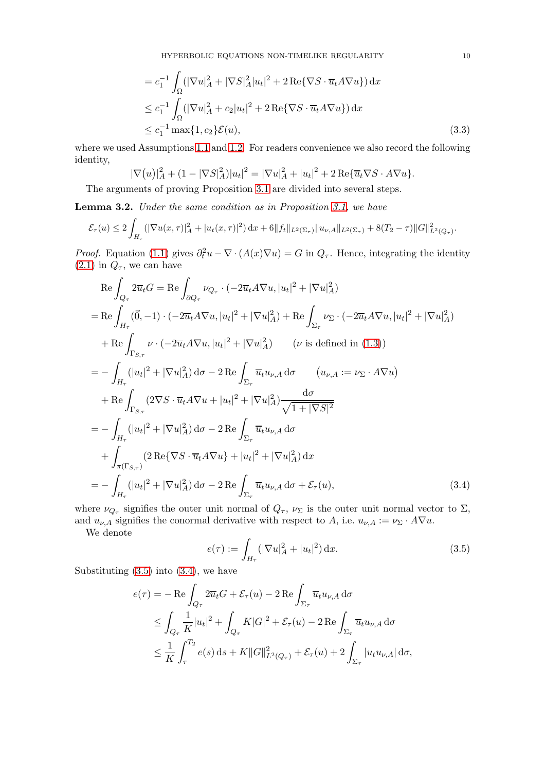$$
= c_1^{-1} \int_{\Omega} (|\nabla u|_A^2 + |\nabla S|_A^2 |u_t|^2 + 2 \operatorname{Re} \{ \nabla S \cdot \overline{u}_t A \nabla u \}) \, dx
$$
  
\n
$$
\leq c_1^{-1} \int_{\Omega} (|\nabla u|_A^2 + c_2 |u_t|^2 + 2 \operatorname{Re} \{ \nabla S \cdot \overline{u}_t A \nabla u \}) \, dx
$$
  
\n
$$
\leq c_1^{-1} \max \{ 1, c_2 \} \mathcal{E}(u),
$$
\n(3.3)

where we used Assumptions [1.1](#page-1-2) and [1.2.](#page-1-3) For readers convenience we also record the following identity,

$$
|\nabla(u)|_A^2 + (1 - |\nabla S|_A^2)|u_t|^2 = |\nabla u|_A^2 + |u_t|^2 + 2\operatorname{Re}\{\overline{u}_t \nabla S \cdot A \nabla u\}.
$$

The arguments of proving Proposition [3.1](#page-8-6) are divided into several steps.

<span id="page-9-2"></span>Lemma 3.2. Under the same condition as in Proposition [3.1,](#page-8-6) we have

$$
\mathcal{E}_{\tau}(u) \leq 2 \int_{H_{\tau}} (|\nabla u(x,\tau)|_{A}^{2} + |u_{t}(x,\tau)|^{2}) dx + 6||f_{t}||_{L^{2}(\Sigma_{\tau})} ||u_{\nu,A}||_{L^{2}(\Sigma_{\tau})} + 8(T_{2} - \tau)||G||^{2}_{L^{2}(Q_{\tau})}.
$$

*Proof.* Equation [\(1.1\)](#page-0-0) gives  $\partial_t^2 u - \nabla \cdot (A(x)\nabla u) = G$  in  $Q_\tau$ . Hence, integrating the identity  $(2.1)$  in  $Q_{\tau}$ , we can have

$$
\operatorname{Re}\int_{Q_{\tau}} 2\overline{u}_{t}G = \operatorname{Re}\int_{\partial Q_{\tau}} \nu_{Q_{\tau}} \cdot (-2\overline{u}_{t}A\nabla u, |u_{t}|^{2} + |\nabla u|_{A}^{2})
$$
\n
$$
= \operatorname{Re}\int_{H_{\tau}} (\vec{0}, -1) \cdot (-2\overline{u}_{t}A\nabla u, |u_{t}|^{2} + |\nabla u|_{A}^{2}) + \operatorname{Re}\int_{\Sigma_{\tau}} \nu_{\Sigma} \cdot (-2\overline{u}_{t}A\nabla u, |u_{t}|^{2} + |\nabla u|_{A}^{2})
$$
\n
$$
+ \operatorname{Re}\int_{\Gamma_{S,\tau}} \nu \cdot (-2\overline{u}_{t}A\nabla u, |u_{t}|^{2} + |\nabla u|_{A}^{2}) \qquad (\nu \text{ is defined in (1.3)})
$$
\n
$$
= -\int_{H_{\tau}} (|u_{t}|^{2} + |\nabla u|_{A}^{2}) d\sigma - 2 \operatorname{Re}\int_{\Sigma_{\tau}} \overline{u}_{t}u_{\nu,A} d\sigma \qquad (u_{\nu,A} := \nu_{\Sigma} \cdot A\nabla u)
$$
\n
$$
+ \operatorname{Re}\int_{\Gamma_{S,\tau}} (2\nabla S \cdot \overline{u}_{t}A\nabla u + |u_{t}|^{2} + |\nabla u|_{A}^{2}) \frac{d\sigma}{\sqrt{1 + |\nabla S|^{2}}}
$$
\n
$$
= -\int_{H_{\tau}} (|u_{t}|^{2} + |\nabla u|_{A}^{2}) d\sigma - 2 \operatorname{Re}\int_{\Sigma_{\tau}} \overline{u}_{t}u_{\nu,A} d\sigma
$$
\n
$$
+ \int_{\pi(\Gamma_{S,\tau})} (2 \operatorname{Re}\{\nabla S \cdot \overline{u}_{t}A\nabla u\} + |u_{t}|^{2} + |\nabla u|_{A}^{2}) d\sigma
$$
\n
$$
= -\int_{H_{\tau}} (|u_{t}|^{2} + |\nabla u|_{A}^{2}) d\sigma - 2 \operatorname{Re}\int_{\Sigma_{\tau}} \overline{u}_{t}u_{\nu,A} d\sigma + \mathcal{E}_{\tau}(u), \qquad (3.4)
$$

where  $\nu_{Q_{\tau}}$  signifies the outer unit normal of  $Q_{\tau}$ ,  $\nu_{\Sigma}$  is the outer unit normal vector to  $\Sigma$ , and  $u_{\nu,A}$  signifies the conormal derivative with respect to A, i.e.  $u_{\nu,A} := \nu_{\Sigma} \cdot A \nabla u$ .

We denote

<span id="page-9-1"></span><span id="page-9-0"></span>
$$
e(\tau) := \int_{H_{\tau}} (|\nabla u|_{A}^{2} + |u_{t}|^{2}) \, \mathrm{d}x. \tag{3.5}
$$

Substituting  $(3.5)$  into  $(3.4)$ , we have

$$
e(\tau) = -\operatorname{Re} \int_{Q_{\tau}} 2\overline{u}_t G + \mathcal{E}_{\tau}(u) - 2 \operatorname{Re} \int_{\Sigma_{\tau}} \overline{u}_t u_{\nu,A} d\sigma
$$
  
\n
$$
\leq \int_{Q_{\tau}} \frac{1}{K} |u_t|^2 + \int_{Q_{\tau}} K|G|^2 + \mathcal{E}_{\tau}(u) - 2 \operatorname{Re} \int_{\Sigma_{\tau}} \overline{u}_t u_{\nu,A} d\sigma
$$
  
\n
$$
\leq \frac{1}{K} \int_{\tau}^{T_2} e(s) ds + K \|G\|_{L^2(Q_{\tau})}^2 + \mathcal{E}_{\tau}(u) + 2 \int_{\Sigma_{\tau}} |u_t u_{\nu,A}| d\sigma,
$$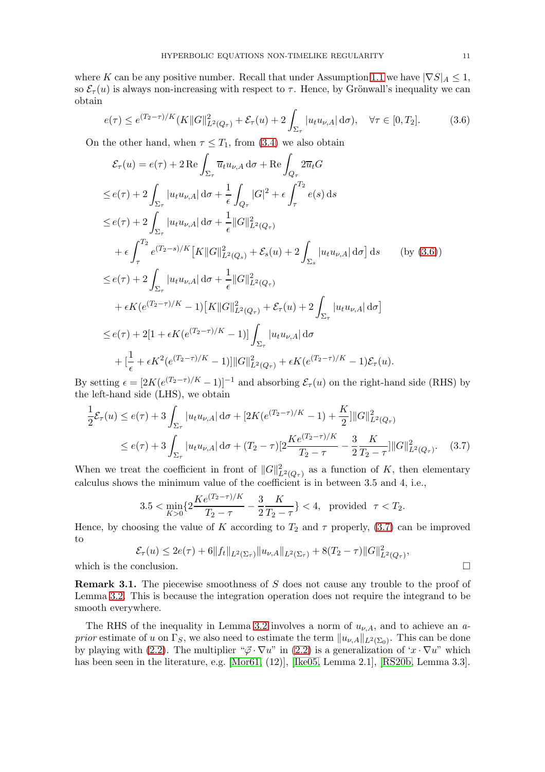where K can be any positive number. Recall that under Assumption [1.1](#page-1-2) we have  $|\nabla S|_A \leq 1$ , so  $\mathcal{E}_{\tau}(u)$  is always non-increasing with respect to  $\tau$ . Hence, by Grönwall's inequality we can obtain

<span id="page-10-0"></span>
$$
e(\tau) \le e^{(T_2 - \tau)/K} (K \|G\|_{L^2(Q_\tau)}^2 + \mathcal{E}_\tau(u) + 2 \int_{\Sigma_\tau} |u_t u_{\nu,A}| \, d\sigma), \quad \forall \tau \in [0, T_2]. \tag{3.6}
$$

On the other hand, when  $\tau \leq T_1$ , from [\(3.4\)](#page-9-1) we also obtain

$$
\mathcal{E}_{\tau}(u) = e(\tau) + 2 \operatorname{Re} \int_{\Sigma_{\tau}} \overline{u}_{t} u_{\nu,A} \, d\sigma + \operatorname{Re} \int_{Q_{\tau}} 2 \overline{u}_{t} G
$$
\n
$$
\leq e(\tau) + 2 \int_{\Sigma_{\tau}} |u_{t} u_{\nu,A}| \, d\sigma + \frac{1}{\epsilon} \int_{Q_{\tau}} |G|^{2} + \epsilon \int_{\tau}^{T_{2}} e(s) \, ds
$$
\n
$$
\leq e(\tau) + 2 \int_{\Sigma_{\tau}} |u_{t} u_{\nu,A}| \, d\sigma + \frac{1}{\epsilon} ||G||^{2}_{L^{2}(Q_{\tau})}
$$
\n
$$
+ \epsilon \int_{\tau}^{T_{2}} e^{(T_{2} - s)/K} [K ||G||^{2}_{L^{2}(Q_{s})} + \mathcal{E}_{s}(u) + 2 \int_{\Sigma_{s}} |u_{t} u_{\nu,A}| \, d\sigma] \, ds \qquad \text{(by (3.6))}
$$
\n
$$
\leq e(\tau) + 2 \int_{\Sigma_{\tau}} |u_{t} u_{\nu,A}| \, d\sigma + \frac{1}{\epsilon} ||G||^{2}_{L^{2}(Q_{\tau})}
$$
\n
$$
+ \epsilon K (e^{(T_{2} - \tau)/K} - 1) [K ||G||^{2}_{L^{2}(Q_{\tau})} + \mathcal{E}_{\tau}(u) + 2 \int_{\Sigma_{\tau}} |u_{t} u_{\nu,A}| \, d\sigma]
$$
\n
$$
\leq e(\tau) + 2[1 + \epsilon K (e^{(T_{2} - \tau)/K} - 1)] \int_{\Sigma_{\tau}} |u_{t} u_{\nu,A}| \, d\sigma
$$
\n
$$
+ [\frac{1}{\epsilon} + \epsilon K^{2} (e^{(T_{2} - \tau)/K} - 1)] ||G||^{2}_{L^{2}(Q_{\tau})} + \epsilon K (e^{(T_{2} - \tau)/K} - 1) \mathcal{E}_{\tau}(u).
$$

By setting  $\epsilon = [2K(e^{(T_2 - \tau)/K} - 1)]^{-1}$  and absorbing  $\mathcal{E}_{\tau}(u)$  on the right-hand side (RHS) by the left-hand side (LHS), we obtain

$$
\frac{1}{2}\mathcal{E}_{\tau}(u) \leq e(\tau) + 3 \int_{\Sigma_{\tau}} |u_t u_{\nu,A}| d\sigma + [2K(e^{(T_2 - \tau)/K} - 1) + \frac{K}{2}] ||G||_{L^2(Q_{\tau})}^2
$$
\n
$$
\leq e(\tau) + 3 \int_{\Sigma_{\tau}} |u_t u_{\nu,A}| d\sigma + (T_2 - \tau)[2\frac{Ke^{(T_2 - \tau)/K}}{T_2 - \tau} - \frac{3}{2}\frac{K}{T_2 - \tau}] ||G||_{L^2(Q_{\tau})}^2. \tag{3.7}
$$

When we treat the coefficient in front of  $||G||^2_{L^2(Q_\tau)}$  as a function of K, then elementary calculus shows the minimum value of the coefficient is in between 3.5 and 4, i.e.,

<span id="page-10-1"></span>
$$
3.5 < \min_{K>0} \{ 2\frac{Ke^{(T_2-\tau)/K}}{T_2-\tau} - \frac{3}{2}\frac{K}{T_2-\tau} \} < 4, \text{ provided } \tau < T_2.
$$

Hence, by choosing the value of K according to  $T_2$  and  $\tau$  properly, [\(3.7\)](#page-10-1) can be improved to

$$
\mathcal{E}_{\tau}(u) \le 2e(\tau) + 6||f_t||_{L^2(\Sigma_{\tau})} ||u_{\nu,A}||_{L^2(\Sigma_{\tau})} + 8(T_2 - \tau)||G||^2_{L^2(Q_{\tau})},
$$
  
which is the conclusion.

Remark 3.1. The piecewise smoothness of S does not cause any trouble to the proof of Lemma [3.2.](#page-9-2) This is because the integration operation does not require the integrand to be smooth everywhere.

The RHS of the inequality in Lemma [3.2](#page-9-2) involves a norm of  $u_{\nu,A}$ , and to achieve an a*prior* estimate of u on  $\Gamma_S$ , we also need to estimate the term  $||u_{\nu,A}||_{L^2(\Sigma_0)}$ . This can be done by playing with [\(2.2\)](#page-5-6). The multiplier " $\vec{\varphi} \cdot \nabla u$ " in (2.2) is a generalization of 'x ·  $\nabla u$ " which has been seen in the literature, e.g. [\[Mor61,](#page-20-9) (12)], [\[Ike05,](#page-20-10) Lemma 2.1], [\[RS20b,](#page-21-4) Lemma 3.3].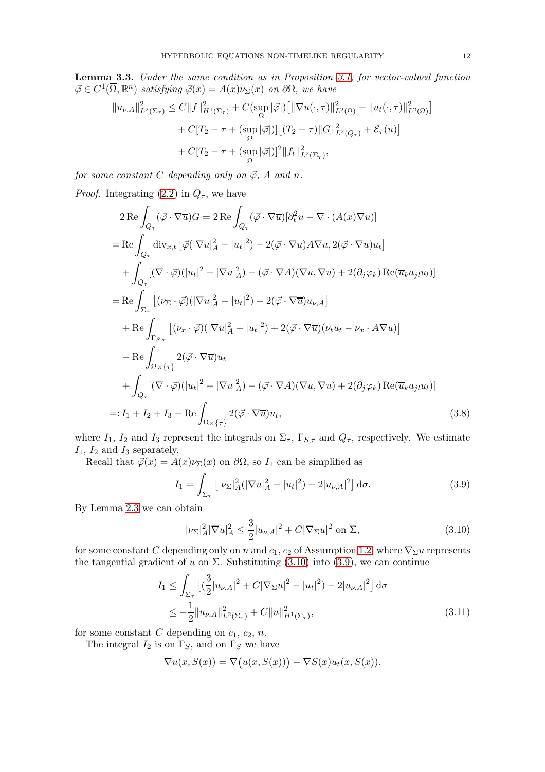<span id="page-11-4"></span>Lemma 3.3. Under the same condition as in Proposition [3.1,](#page-8-6) for vector-valued function  $\vec{\varphi} \in C^1(\overline{\Omega}, \mathbb{R}^n)$  satisfying  $\vec{\varphi}(x) = A(x)\nu_{\Sigma}(x)$  on  $\partial\Omega$ , we have

$$
||u_{\nu,A}||_{L^{2}(\Sigma_{\tau})}^{2} \leq C||f||_{H^{1}(\Sigma_{\tau})}^{2} + C(\sup_{\Omega} |\vec{\varphi}|) [||\nabla u(\cdot,\tau)||_{L^{2}(\Omega)}^{2} + ||u_{t}(\cdot,\tau)||_{L^{2}(\Omega)}^{2}]
$$
  
+ 
$$
C[T_{2} - \tau + (\sup_{\Omega} |\vec{\varphi}|) ] [(T_{2} - \tau)||G||_{L^{2}(Q_{\tau})}^{2} + \mathcal{E}_{\tau}(u)]
$$
  
+ 
$$
C[T_{2} - \tau + (\sup_{\Omega} |\vec{\varphi}|) ]^{2} ||f_{t}||_{L^{2}(\Sigma_{\tau})}^{2},
$$

for some constant C depending only on  $\vec{\varphi}$ , A and n.

*Proof.* Integrating [\(2.2\)](#page-5-6) in  $Q_{\tau}$ , we have

$$
2 \operatorname{Re} \int_{Q_{\tau}} (\vec{\varphi} \cdot \nabla \overline{u}) G = 2 \operatorname{Re} \int_{Q_{\tau}} (\vec{\varphi} \cdot \nabla \overline{u}) [\partial_t^2 u - \nabla \cdot (A(x) \nabla u)]
$$
  
\n
$$
= \operatorname{Re} \int_{Q_{\tau}} \operatorname{div}_{x,t} \left[ \vec{\varphi} (|\nabla u|_A^2 - |u_t|^2) - 2(\vec{\varphi} \cdot \nabla \overline{u}) A \nabla u, 2(\vec{\varphi} \cdot \nabla \overline{u}) u_t \right]
$$
  
\n
$$
+ \int_{Q_{\tau}} [(\nabla \cdot \vec{\varphi}) (|u_t|^2 - |\nabla u|_A^2) - (\vec{\varphi} \cdot \nabla A)(\nabla u, \nabla u) + 2(\partial_j \varphi_k) \operatorname{Re}(\overline{u}_k a_{jl} u_l)]
$$
  
\n
$$
= \operatorname{Re} \int_{\Sigma_{\tau}} \left[ (\nu_{\Sigma} \cdot \vec{\varphi}) (|\nabla u|_A^2 - |u_t|^2) - 2(\vec{\varphi} \cdot \nabla \overline{u}) u_{\nu,A} \right]
$$
  
\n
$$
+ \operatorname{Re} \int_{\Gamma_{S,\tau}} \left[ (\nu_x \cdot \vec{\varphi}) (|\nabla u|_A^2 - |u_t|^2) + 2(\vec{\varphi} \cdot \nabla \overline{u}) (\nu_t u_t - \nu_x \cdot A \nabla u) \right]
$$
  
\n
$$
- \operatorname{Re} \int_{\Omega \times \{\tau\}} 2(\vec{\varphi} \cdot \nabla \overline{u}) u_t
$$
  
\n
$$
+ \int_{Q_{\tau}} [(\nabla \cdot \vec{\varphi}) (|u_t|^2 - |\nabla u|_A^2) - (\vec{\varphi} \cdot \nabla A)(\nabla u, \nabla u) + 2(\partial_j \varphi_k) \operatorname{Re}(\overline{u}_k a_{jl} u_l)]
$$
  
\n
$$
=: I_1 + I_2 + I_3 - \operatorname{Re} \int_{\Omega \times \{\tau\}} 2(\vec{\varphi} \cdot \nabla \overline{u}) u_t,
$$
\n(3.8)

where  $I_1$ ,  $I_2$  and  $I_3$  represent the integrals on  $\Sigma_{\tau}$ ,  $\Gamma_{S,\tau}$  and  $Q_{\tau}$ , respectively. We estimate  $I_1$ ,  $I_2$  and  $I_3$  separately.

Recall that  $\vec{\varphi}(x) = A(x)\nu_{\Sigma}(x)$  on  $\partial\Omega$ , so  $I_1$  can be simplified as

<span id="page-11-2"></span><span id="page-11-0"></span>
$$
I_1 = \int_{\Sigma_{\tau}} \left[ |\nu_{\Sigma}|^2_A (|\nabla u|^2_A - |u_t|^2) - 2|u_{\nu,A}|^2 \right] d\sigma.
$$
 (3.9)

By Lemma [2.3](#page-7-0) we can obtain

<span id="page-11-3"></span><span id="page-11-1"></span>
$$
|\nu_{\Sigma}|_{A}^{2} |\nabla u|_{A}^{2} \le \frac{3}{2} |u_{\nu,A}|^{2} + C|\nabla_{\Sigma} u|^{2} \text{ on } \Sigma,
$$
\n(3.10)

for some constant C depending only on n and  $c_1$ ,  $c_2$  of Assumption [1.2,](#page-1-3) where  $\nabla_{\Sigma} u$  represents the tangential gradient of u on  $\Sigma$ . Substituting [\(3.10\)](#page-11-1) into [\(3.9\)](#page-11-0), we can continue

$$
I_1 \leq \int_{\Sigma_{\tau}} \left[ \left( \frac{3}{2} |u_{\nu,A}|^2 + C |\nabla_{\Sigma} u|^2 - |u_t|^2 \right) - 2 |u_{\nu,A}|^2 \right] d\sigma
$$
  
 
$$
\leq -\frac{1}{2} ||u_{\nu,A}||_{L^2(\Sigma_{\tau})}^2 + C ||u||_{H^1(\Sigma_{\tau})}^2,
$$
 (3.11)

for some constant  $C$  depending on  $c_1, c_2, n$ .

The integral  $I_2$  is on  $\Gamma_S$ , and on  $\Gamma_S$  we have

$$
\nabla u(x, S(x)) = \nabla (u(x, S(x))) - \nabla S(x)u_t(x, S(x)).
$$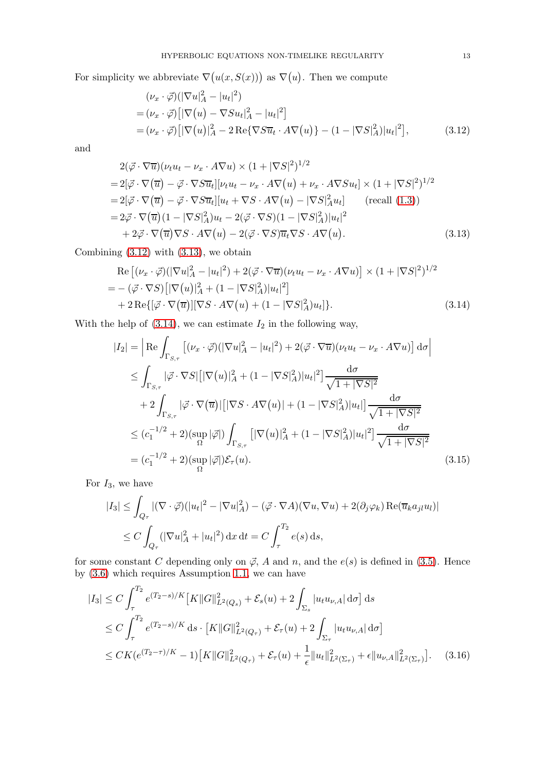For simplicity we abbreviate  $\nabla(u(x, S(x)))$  as  $\nabla(u)$ . Then we compute

<span id="page-12-1"></span><span id="page-12-0"></span>
$$
(\nu_x \cdot \vec{\varphi}) (|\nabla u|_A^2 - |u_t|^2)
$$
  
=  $(\nu_x \cdot \vec{\varphi}) [|\nabla(u) - \nabla S u_t|_A^2 - |u_t|^2]$   
=  $(\nu_x \cdot \vec{\varphi}) [|\nabla(u)|_A^2 - 2 \text{Re} {\nabla S \overline{u}_t \cdot A \nabla(u)} - (1 - |\nabla S|_A^2) |u_t|^2],$  (3.12)

and

$$
2(\vec{\varphi} \cdot \nabla \overline{u})(\nu_t u_t - \nu_x \cdot A \nabla u) \times (1 + |\nabla S|^2)^{1/2}
$$
  
=  $2[\vec{\varphi} \cdot \nabla(\overline{u}) - \vec{\varphi} \cdot \nabla S \overline{u}_t][\nu_t u_t - \nu_x \cdot A \nabla(u) + \nu_x \cdot A \nabla S u_t] \times (1 + |\nabla S|^2)^{1/2}$   
=  $2[\vec{\varphi} \cdot \nabla(\overline{u}) - \vec{\varphi} \cdot \nabla S \overline{u}_t][u_t + \nabla S \cdot A \nabla(u) - |\nabla S|^2_{A} u_t]$  (recall (1.3))  
=  $2\vec{\varphi} \cdot \nabla(\overline{u})(1 - |\nabla S|^2_{A})u_t - 2(\vec{\varphi} \cdot \nabla S)(1 - |\nabla S|^2_{A})|u_t|^2$   
+  $2\vec{\varphi} \cdot \nabla(\overline{u}) \nabla S \cdot A \nabla(u) - 2(\vec{\varphi} \cdot \nabla S) \overline{u}_t \nabla S \cdot A \nabla(u). \qquad (3.13)$ 

Combining  $(3.12)$  with  $(3.13)$ , we obtain

$$
\operatorname{Re}\left[ (\nu_x \cdot \vec{\varphi}) (|\nabla u|_A^2 - |u_t|^2) + 2(\vec{\varphi} \cdot \nabla \overline{u}) (\nu_t u_t - \nu_x \cdot A \nabla u) \right] \times (1 + |\nabla S|^2)^{1/2} \n= - (\vec{\varphi} \cdot \nabla S) \left[ |\nabla (u)|_A^2 + (1 - |\nabla S|_A^2) |u_t|^2 \right] \n+ 2 \operatorname{Re}\{ [\vec{\varphi} \cdot \nabla (\overline{u})] [\nabla S \cdot A \nabla (u) + (1 - |\nabla S|_A^2) u_t] \}.
$$
\n(3.14)

With the help of  $(3.14)$ , we can estimate  $I_2$  in the following way,

<span id="page-12-2"></span>
$$
|I_{2}| = \left| \operatorname{Re} \int_{\Gamma_{S,\tau}} \left[ (\nu_{x} \cdot \vec{\varphi}) (|\nabla u|_{A}^{2} - |u_{t}|^{2}) + 2(\vec{\varphi} \cdot \nabla \overline{u}) (\nu_{t} u_{t} - \nu_{x} \cdot A \nabla u) \right] d\sigma \right|
$$
  
\n
$$
\leq \int_{\Gamma_{S,\tau}} |\vec{\varphi} \cdot \nabla S| [|\nabla (u)|_{A}^{2} + (1 - |\nabla S|_{A}^{2}) |u_{t}|^{2}] \frac{d\sigma}{\sqrt{1 + |\nabla S|^{2}}}
$$
  
\n
$$
+ 2 \int_{\Gamma_{S,\tau}} |\vec{\varphi} \cdot \nabla (\overline{u})| [|\nabla S \cdot A \nabla (u)| + (1 - |\nabla S|_{A}^{2}) |u_{t}|] \frac{d\sigma}{\sqrt{1 + |\nabla S|^{2}}}
$$
  
\n
$$
\leq (c_{1}^{-1/2} + 2) (\sup_{\Omega} |\vec{\varphi}|) \int_{\Gamma_{S,\tau}} [|\nabla (u)|_{A}^{2} + (1 - |\nabla S|_{A}^{2}) |u_{t}|^{2}] \frac{d\sigma}{\sqrt{1 + |\nabla S|^{2}}}
$$
  
\n
$$
= (c_{1}^{-1/2} + 2) (\sup_{\Omega} |\vec{\varphi}|) \mathcal{E}_{\tau}(u).
$$
 (3.15)

For  $I_3$ , we have

<span id="page-12-4"></span>
$$
|I_3| \leq \int_{Q_\tau} |(\nabla \cdot \vec{\varphi})(|u_t|^2 - |\nabla u|_A^2) - (\vec{\varphi} \cdot \nabla A)(\nabla u, \nabla u) + 2(\partial_j \varphi_k) \operatorname{Re}(\overline{u}_k a_{jl} u_l)|
$$
  

$$
\leq C \int_{Q_\tau} (|\nabla u|_A^2 + |u_t|^2) \, dx \, dt = C \int_{\tau}^{T_2} e(s) \, ds,
$$

for some constant C depending only on  $\vec{\varphi}$ , A and n, and the  $e(s)$  is defined in [\(3.5\)](#page-9-0). Hence by [\(3.6\)](#page-10-0) which requires Assumption [1.1,](#page-1-2) we can have

<span id="page-12-3"></span>
$$
|I_3| \le C \int_{\tau}^{T_2} e^{(T_2 - s)/K} [K ||G||_{L^2(Q_s)}^2 + \mathcal{E}_s(u) + 2 \int_{\Sigma_s} |u_t u_{\nu,A}| d\sigma] ds
$$
  
\n
$$
\le C \int_{\tau}^{T_2} e^{(T_2 - s)/K} ds \cdot [K ||G||_{L^2(Q_\tau)}^2 + \mathcal{E}_\tau(u) + 2 \int_{\Sigma_\tau} |u_t u_{\nu,A}| d\sigma]
$$
  
\n
$$
\le CK(e^{(T_2 - \tau)/K} - 1) [K ||G||_{L^2(Q_\tau)}^2 + \mathcal{E}_\tau(u) + \frac{1}{\epsilon} ||u_t||_{L^2(\Sigma_\tau)}^2 + \epsilon ||u_{\nu,A}||_{L^2(\Sigma_\tau)}^2]. \quad (3.16)
$$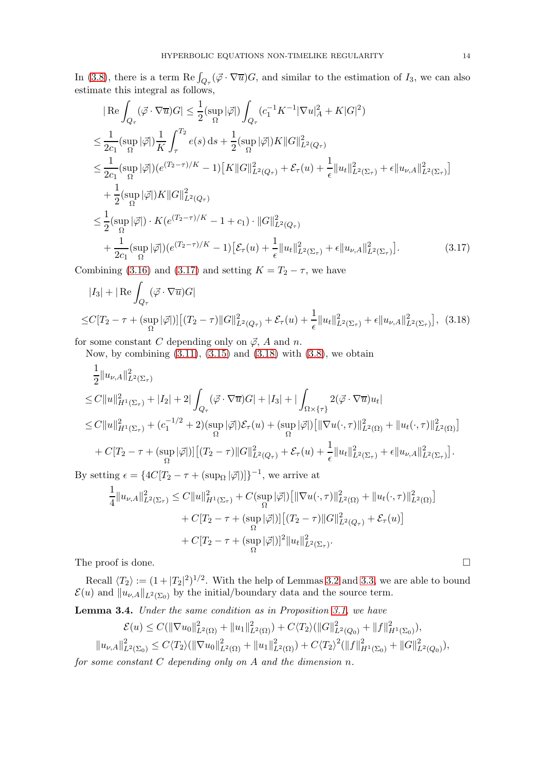In [\(3.8\)](#page-11-2), there is a term  $\text{Re}\int_{Q_{\tau}}(\vec{\varphi}\cdot\nabla\overline{u})G$ , and similar to the estimation of  $I_3$ , we can also estimate this integral as follows,

$$
|\operatorname{Re}\int_{Q_{\tau}} (\vec{\varphi} \cdot \nabla \overline{u})G| \leq \frac{1}{2} (\sup_{\Omega} |\vec{\varphi}|) \int_{Q_{\tau}} (c_{1}^{-1} K^{-1} |\nabla u|_{A}^{2} + K |G|^{2})
$$
  
\n
$$
\leq \frac{1}{2c_{1}} (\sup_{\Omega} |\vec{\varphi}|) \frac{1}{K} \int_{\tau}^{T_{2}} e(s) ds + \frac{1}{2} (\sup_{\Omega} |\vec{\varphi}|) K ||G||_{L^{2}(Q_{\tau})}^{2}
$$
  
\n
$$
\leq \frac{1}{2c_{1}} (\sup_{\Omega} |\vec{\varphi}|) (e^{(T_{2}-\tau)/K} - 1) [K ||G||_{L^{2}(Q_{\tau})}^{2} + \mathcal{E}_{\tau}(u) + \frac{1}{\epsilon} ||u_{t}||_{L^{2}(\Sigma_{\tau})}^{2} + \epsilon ||u_{\nu,A}||_{L^{2}(\Sigma_{\tau})}^{2}]
$$
  
\n
$$
+ \frac{1}{2} (\sup_{\Omega} |\vec{\varphi}|) K ||G||_{L^{2}(Q_{\tau})}^{2}
$$
  
\n
$$
\leq \frac{1}{2} (\sup_{\Omega} |\vec{\varphi}|) \cdot K (e^{(T_{2}-\tau)/K} - 1 + c_{1}) \cdot ||G||_{L^{2}(Q_{\tau})}^{2}
$$
  
\n
$$
+ \frac{1}{2c_{1}} (\sup_{\Omega} |\vec{\varphi}|) (e^{(T_{2}-\tau)/K} - 1) [\mathcal{E}_{\tau}(u) + \frac{1}{\epsilon} ||u_{t}||_{L^{2}(\Sigma_{\tau})}^{2} + \epsilon ||u_{\nu,A}||_{L^{2}(\Sigma_{\tau})}^{2}].
$$
\n(3.17)

Combining [\(3.16\)](#page-12-3) and [\(3.17\)](#page-13-0) and setting  $K = T_2 - \tau$ , we have

<span id="page-13-0"></span>
$$
|I_3| + |\operatorname{Re} \int_{Q_\tau} (\vec{\varphi} \cdot \nabla \overline{u}) G|
$$
  
\n
$$
\leq C[T_2 - \tau + (\sup_{\Omega} |\vec{\varphi}|) [((T_2 - \tau) ||G||^2_{L^2(Q_\tau)} + \mathcal{E}_\tau(u) + \frac{1}{\epsilon} ||u_t||^2_{L^2(\Sigma_\tau)} + \epsilon ||u_{\nu,A}||^2_{L^2(\Sigma_\tau)}],
$$
 (3.18)

for some constant C depending only on  $\vec{\varphi}$ , A and n.

<span id="page-13-1"></span>Now, by combining  $(3.11)$ ,  $(3.15)$  and  $(3.18)$  with  $(3.8)$ , we obtain

$$
\frac{1}{2}||u_{\nu,A}||_{L^{2}(\Sigma_{\tau})}^{2}
$$
\n
$$
\leq C||u||_{H^{1}(\Sigma_{\tau})}^{2} + |I_{2}| + 2|\int_{Q_{\tau}} (\vec{\varphi} \cdot \nabla \overline{u})G| + |I_{3}| + |\int_{\Omega \times \{\tau\}} 2(\vec{\varphi} \cdot \nabla \overline{u})u_{t}|
$$
\n
$$
\leq C||u||_{H^{1}(\Sigma_{\tau})}^{2} + (c_{1}^{-1/2} + 2)(\sup_{\Omega} |\vec{\varphi}|)\mathcal{E}_{\tau}(u) + (\sup_{\Omega} |\vec{\varphi}|)[||\nabla u(\cdot, \tau)||_{L^{2}(\Omega)}^{2} + ||u_{t}(\cdot, \tau)||_{L^{2}(\Omega)}^{2}]
$$
\n
$$
+ C[T_{2} - \tau + (\sup_{\Omega} |\vec{\varphi}|)][(T_{2} - \tau)||G||_{L^{2}(Q_{\tau})}^{2} + \mathcal{E}_{\tau}(u) + \frac{1}{\epsilon}||u_{t}||_{L^{2}(\Sigma_{\tau})}^{2} + \epsilon ||u_{\nu,A}||_{L^{2}(\Sigma_{\tau})}^{2}].
$$

By setting  $\epsilon = \{4C[T_2 - \tau + (\sup_{\Omega} |\vec{\varphi}|)]\}^{-1}$ , we arrive at

$$
\frac{1}{4}||u_{\nu,A}||_{L^{2}(\Sigma_{\tau})}^{2} \leq C||u||_{H^{1}(\Sigma_{\tau})}^{2} + C(\sup_{\Omega}|\vec{\varphi}|)\left[||\nabla u(\cdot,\tau)||_{L^{2}(\Omega)}^{2} + ||u_{t}(\cdot,\tau)||_{L^{2}(\Omega)}^{2}\right] \n+ C[T_{2} - \tau + (\sup_{\Omega}|\vec{\varphi}|)][(T_{2} - \tau)||G||_{L^{2}(Q_{\tau})}^{2} + \mathcal{E}_{\tau}(u)] \n+ C[T_{2} - \tau + (\sup_{\Omega}|\vec{\varphi}|)]^{2}||u_{t}||_{L^{2}(\Sigma_{\tau})}^{2}.
$$

The proof is done.  $\Box$ 

Recall  $\langle T_2 \rangle := (1 + |T_2|^2)^{1/2}$ . With the help of Lemmas [3.2](#page-9-2) and [3.3,](#page-11-4) we are able to bound  $\mathcal{E}(u)$  and  $||u_{\nu,A}||_{L^2(\Sigma_0)}$  by the initial/boundary data and the source term.

<span id="page-13-2"></span>Lemma 3.4. Under the same condition as in Proposition [3.1,](#page-8-6) we have

$$
\mathcal{E}(u) \leq C(||\nabla u_0||_{L^2(\Omega)}^2 + ||u_1||_{L^2(\Omega)}^2) + C\langle T_2 \rangle (||G||_{L^2(Q_0)}^2 + ||f||_{H^1(\Sigma_0)}^2),
$$
  

$$
||u_{\nu,A}||_{L^2(\Sigma_0)}^2 \leq C\langle T_2 \rangle (||\nabla u_0||_{L^2(\Omega)}^2 + ||u_1||_{L^2(\Omega)}^2) + C\langle T_2 \rangle^2 (||f||_{H^1(\Sigma_0)}^2 + ||G||_{L^2(Q_0)}^2),
$$

for some constant C depending only on A and the dimension n.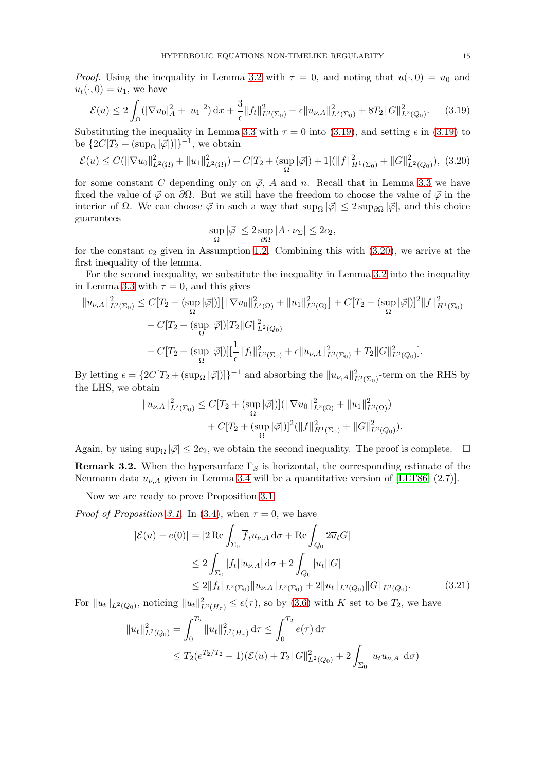*Proof.* Using the inequality in Lemma [3.2](#page-9-2) with  $\tau = 0$ , and noting that  $u(\cdot, 0) = u_0$  and  $u_t(\cdot, 0) = u_1$ , we have

<span id="page-14-0"></span>
$$
\mathcal{E}(u) \le 2\int_{\Omega} (|\nabla u_0|_A^2 + |u_1|^2) \, \mathrm{d}x + \frac{3}{\epsilon} \|f_t\|_{L^2(\Sigma_0)}^2 + \epsilon \|u_{\nu,A}\|_{L^2(\Sigma_0)}^2 + 8T_2 \|G\|_{L^2(Q_0)}^2. \tag{3.19}
$$

Substituting the inequality in Lemma [3.3](#page-11-4) with  $\tau = 0$  into [\(3.19\)](#page-14-0), and setting  $\epsilon$  in (3.19) to be  $\{2C[T_2 + (\sup_{\Omega}|\vec{\varphi}|)]\}^{-1}$ , we obtain

<span id="page-14-1"></span>
$$
\mathcal{E}(u) \le C(||\nabla u_0||_{L^2(\Omega)}^2 + ||u_1||_{L^2(\Omega)}^2) + C[T_2 + (\sup_{\Omega} |\vec{\varphi}|) + 1] (||f||_{H^1(\Sigma_0)}^2 + ||G||_{L^2(Q_0)}^2),
$$
 (3.20)

for some constant C depending only on  $\vec{\varphi}$ , A and n. Recall that in Lemma [3.3](#page-11-4) we have fixed the value of  $\phi$  on  $\partial\Omega$ . But we still have the freedom to choose the value of  $\phi$  in the interior of  $\Omega$ . We can choose  $\vec{\varphi}$  in such a way that  $\sup_{\Omega} |\vec{\varphi}| \leq 2 \sup_{\partial \Omega} |\vec{\varphi}|$ , and this choice guarantees

$$
\sup_{\Omega} |\vec{\varphi}| \le 2 \sup_{\partial \Omega} |A \cdot \nu_{\Sigma}| \le 2c_2,
$$

for the constant  $c_2$  given in Assumption [1.2.](#page-1-3) Combining this with  $(3.20)$ , we arrive at the first inequality of the lemma.

For the second inequality, we substitute the inequality in Lemma [3.2](#page-9-2) into the inequality in Lemma [3.3](#page-11-4) with  $\tau = 0$ , and this gives

$$
||u_{\nu,A}||_{L^{2}(\Sigma_{0})}^{2} \leq C[T_{2} + (\sup_{\Omega} |\vec{\varphi}|)][\|\nabla u_{0}\|_{L^{2}(\Omega)}^{2} + ||u_{1}||_{L^{2}(\Omega)}^{2}] + C[T_{2} + (\sup_{\Omega} |\vec{\varphi}|)]^{2}||f||_{H^{1}(\Sigma_{0})}^{2} + C[T_{2} + (\sup_{\Omega} |\vec{\varphi}|)]T_{2}||G||_{L^{2}(Q_{0})}^{2} + C[T_{2} + (\sup_{\Omega} |\vec{\varphi}|)][\frac{1}{\epsilon}||f_{t}||_{L^{2}(\Sigma_{0})}^{2} + \epsilon ||u_{\nu,A}||_{L^{2}(\Sigma_{0})}^{2} + T_{2}||G||_{L^{2}(Q_{0})}^{2}].
$$

By letting  $\epsilon = \{2C[T_2 + (\sup_{\Omega} |\vec{\varphi}|)]\}^{-1}$  and absorbing the  $||u_{\nu,A}||^2_{L^2(\Sigma_0)}$ -term on the RHS by the LHS, we obtain

$$
||u_{\nu,A}||_{L^2(\Sigma_0)}^2 \leq C[T_2 + (\sup_{\Omega} |\vec{\varphi}|)] (||\nabla u_0||_{L^2(\Omega)}^2 + ||u_1||_{L^2(\Omega)}^2) + C[T_2 + (\sup_{\Omega} |\vec{\varphi}|)]^2 (||f||_{H^1(\Sigma_0)}^2 + ||G||_{L^2(Q_0)}^2).
$$

Again, by using sup<sub> $\Omega$ </sub>  $|\vec{\varphi}| \leq 2c_2$ , we obtain the second inequality. The proof is complete.  $\Box$ **Remark 3.2.** When the hypersurface  $\Gamma_S$  is horizontal, the corresponding estimate of the Neumann data  $u_{\nu,A}$  given in Lemma [3.4](#page-13-2) will be a quantitative version of [\[LLT86,](#page-20-0) (2.7)].

Now we are ready to prove Proposition [3.1.](#page-8-6)

*Proof of Proposition [3.1.](#page-8-6)* In [\(3.4\)](#page-9-1), when  $\tau = 0$ , we have

<span id="page-14-2"></span>
$$
|\mathcal{E}(u) - e(0)| = |2 \operatorname{Re} \int_{\Sigma_0} \overline{f}_t u_{\nu,A} d\sigma + \operatorname{Re} \int_{Q_0} 2\overline{u}_t G|
$$
  
\n
$$
\leq 2 \int_{\Sigma_0} |f_t| |u_{\nu,A}| d\sigma + 2 \int_{Q_0} |u_t||G|
$$
  
\n
$$
\leq 2||f_t||_{L^2(\Sigma_0)} ||u_{\nu,A}||_{L^2(\Sigma_0)} + 2||u_t||_{L^2(Q_0)} ||G||_{L^2(Q_0)}.
$$
 (3.21)

For  $||u_t||_{L^2(Q_0)}$ , noticing  $||u_t||^2_{L^2(H_\tau)} \leq e(\tau)$ , so by  $(3.6)$  with K set to be  $T_2$ , we have

$$
||u_t||_{L^2(Q_0)}^2 = \int_0^{T_2} ||u_t||_{L^2(H_\tau)}^2 d\tau \le \int_0^{T_2} e(\tau) d\tau
$$
  

$$
\le T_2(e^{T_2/T_2} - 1)(\mathcal{E}(u) + T_2||G||_{L^2(Q_0)}^2 + 2\int_{\Sigma_0} |u_t u_{\nu,A}| d\sigma)
$$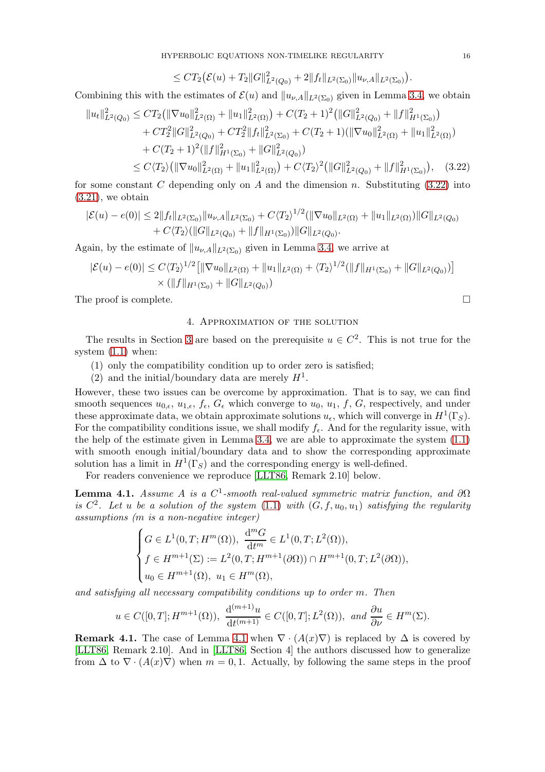$\leq CT_2(\mathcal{E}(u)+T_2||G||^2_{L^2(Q_0)}+2||f_t||_{L^2(\Sigma_0)}||u_{\nu,A}||_{L^2(\Sigma_0)}).$ 

Combining this with the estimates of  $\mathcal{E}(u)$  and  $||u_{\nu,A}||_{L^2(\Sigma_0)}$  given in Lemma [3.4,](#page-13-2) we obtain

$$
||u_t||_{L^2(Q_0)}^2 \le CT_2(||\nabla u_0||_{L^2(\Omega)}^2 + ||u_1||_{L^2(\Omega)}^2) + C(T_2 + 1)^2 (||G||_{L^2(Q_0)}^2 + ||f||_{H^1(\Sigma_0)}^2) + CT_2^2 ||G||_{L^2(Q_0)}^2 + CT_2^2 ||f_t||_{L^2(\Sigma_0)}^2 + C(T_2 + 1)(||\nabla u_0||_{L^2(\Omega)}^2 + ||u_1||_{L^2(\Omega)}^2) + C(T_2 + 1)^2 (||f||_{H^1(\Sigma_0)}^2 + ||G||_{L^2(Q_0)}^2) \le C\langle T_2 \rangle (||\nabla u_0||_{L^2(\Omega)}^2 + ||u_1||_{L^2(\Omega)}^2) + C\langle T_2 \rangle^2 (||G||_{L^2(Q_0)}^2 + ||f||_{H^1(\Sigma_0)}^2), \quad (3.22)
$$

for some constant C depending only on A and the dimension n. Substituting  $(3.22)$  into  $(3.21)$ , we obtain

$$
|\mathcal{E}(u) - e(0)| \le 2||f_t||_{L^2(\Sigma_0)}||u_{\nu,A}||_{L^2(\Sigma_0)} + C\langle T_2 \rangle^{1/2} (||\nabla u_0||_{L^2(\Omega)} + ||u_1||_{L^2(\Omega)})||G||_{L^2(Q_0)} + C\langle T_2 \rangle (||G||_{L^2(Q_0)} + ||f||_{H^1(\Sigma_0)})||G||_{L^2(Q_0)}.
$$

Again, by the estimate of  $||u_{\nu,A}||_{L^2(\Sigma_0)}$  given in Lemma [3.4,](#page-13-2) we arrive at

$$
|\mathcal{E}(u) - e(0)| \le C \langle T_2 \rangle^{1/2} \left[ \|\nabla u_0\|_{L^2(\Omega)} + \|u_1\|_{L^2(\Omega)} + \langle T_2 \rangle^{1/2} (\|f\|_{H^1(\Sigma_0)} + \|G\|_{L^2(Q_0)}) \right] \times (\|f\|_{H^1(\Sigma_0)} + \|G\|_{L^2(Q_0)})
$$

<span id="page-15-0"></span>The proof is complete.  $\Box$ 

## 4. Approximation of the solution

The results in Section [3](#page-8-0) are based on the prerequisite  $u \in C^2$ . This is not true for the system [\(1.1\)](#page-0-0) when:

- (1) only the compatibility condition up to order zero is satisfied;
- (2) and the initial/boundary data are merely  $H<sup>1</sup>$ .

However, these two issues can be overcome by approximation. That is to say, we can find smooth sequences  $u_{0,\epsilon}, u_{1,\epsilon}, f_{\epsilon}, G_{\epsilon}$  which converge to  $u_0, u_1, f, G$ , respectively, and under these approximate data, we obtain approximate solutions  $u_{\epsilon}$ , which will converge in  $H^1(\Gamma_S)$ . For the compatibility conditions issue, we shall modify  $f_{\epsilon}$ . And for the regularity issue, with the help of the estimate given in Lemma [3.4,](#page-13-2) we are able to approximate the system [\(1.1\)](#page-0-0) with smooth enough initial/boundary data and to show the corresponding approximate solution has a limit in  $H^1(\Gamma_S)$  and the corresponding energy is well-defined.

For readers convenience we reproduce [\[LLT86,](#page-20-0) Remark 2.10] below.

<span id="page-15-2"></span>**Lemma 4.1.** Assume A is a  $C^1$ -smooth real-valued symmetric matrix function, and  $\partial\Omega$ is  $C^2$ . Let u be a solution of the system  $(1.1)$  with  $(G, f, u_0, u_1)$  satisfying the regularity assumptions (m is a non-negative integer)

$$
\begin{cases} G \in L^1(0,T;H^m(\Omega)), \ \frac{d^m G}{dt^m} \in L^1(0,T;L^2(\Omega)), \\ f \in H^{m+1}(\Sigma) := L^2(0,T;H^{m+1}(\partial \Omega)) \cap H^{m+1}(0,T;L^2(\partial \Omega)), \\ u_0 \in H^{m+1}(\Omega), \ u_1 \in H^m(\Omega), \end{cases}
$$

and satisfying all necessary compatibility conditions up to order m. Then

$$
u \in C([0,T];H^{m+1}(\Omega)), \ \frac{\mathrm{d}^{(m+1)}u}{\mathrm{d}t^{(m+1)}} \in C([0,T];L^2(\Omega)), \ \text{and} \ \frac{\partial u}{\partial \nu} \in H^m(\Sigma).
$$

**Remark [4.1](#page-15-2).** The case of Lemma 4.1 when  $\nabla \cdot (A(x)\nabla)$  is replaced by  $\Delta$  is covered by [\[LLT86,](#page-20-0) Remark 2.10]. And in [\[LLT86,](#page-20-0) Section 4] the authors discussed how to generalize from  $\Delta$  to  $\nabla \cdot (A(x)\nabla)$  when  $m = 0, 1$ . Actually, by following the same steps in the proof

<span id="page-15-1"></span>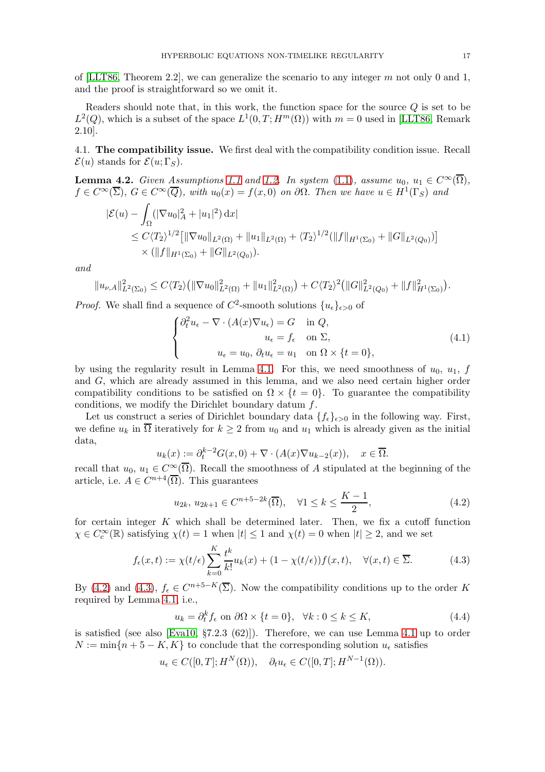of [\[LLT86,](#page-20-0) Theorem 2.2], we can generalize the scenario to any integer  $m$  not only 0 and 1, and the proof is straightforward so we omit it.

Readers should note that, in this work, the function space for the source  $Q$  is set to be  $L^2(Q)$ , which is a subset of the space  $L^1(0,T;H^m(\Omega))$  with  $m=0$  used in [\[LLT86,](#page-20-0) Remark 2.10].

4.1. The compatibility issue. We first deal with the compatibility condition issue. Recall  $\mathcal{E}(u)$  stands for  $\mathcal{E}(u;\Gamma_S)$ .

<span id="page-16-3"></span>**Lemma 4.2.** Given Assumptions [1.1](#page-1-2) and [1.2.](#page-1-3) In system [\(1.1\)](#page-0-0), assume  $u_0, u_1 \in C^\infty(\overline{\Omega}),$  $f \in C^{\infty}(\overline{\Sigma})$ ,  $G \in C^{\infty}(\overline{Q})$ , with  $u_0(x) = f(x,0)$  on  $\partial\Omega$ . Then we have  $u \in H^1(\Gamma_S)$  and

$$
\begin{split} |\mathcal{E}(u) - \int_{\Omega} (|\nabla u_0|_A^2 + |u_1|^2) \, dx \\ &\leq C \langle T_2 \rangle^{1/2} \big[ \|\nabla u_0\|_{L^2(\Omega)} + \|u_1\|_{L^2(\Omega)} + \langle T_2 \rangle^{1/2} (\|f\|_{H^1(\Sigma_0)} + \|G\|_{L^2(Q_0)}) \big] \\ &\times (\|f\|_{H^1(\Sigma_0)} + \|G\|_{L^2(Q_0)}). \end{split}
$$

and

$$
||u_{\nu,A}||_{L^{2}(\Sigma_0)}^{2} \leq C\langle T_{2}\rangle \big(||\nabla u_{0}||_{L^{2}(\Omega)}^{2}+||u_{1}||_{L^{2}(\Omega)}^{2}\big)+C\langle T_{2}\rangle^{2}\big(||G||_{L^{2}(Q_{0})}^{2}+||f||_{H^{1}(\Sigma_0)}^{2}\big).
$$

*Proof.* We shall find a sequence of  $C^2$ -smooth solutions  $\{u_{\epsilon}\}_{{\epsilon}>0}$  of

<span id="page-16-2"></span>
$$
\begin{cases}\n\partial_t^2 u_{\epsilon} - \nabla \cdot (A(x) \nabla u_{\epsilon}) = G & \text{in } Q, \\
u_{\epsilon} = f_{\epsilon} & \text{on } \Sigma, \\
u_{\epsilon} = u_0, \, \partial_t u_{\epsilon} = u_1 & \text{on } \Omega \times \{t = 0\},\n\end{cases}
$$
\n(4.1)

by using the regularity result in Lemma [4.1.](#page-15-2) For this, we need smoothness of  $u_0$ ,  $u_1$ , f and G, which are already assumed in this lemma, and we also need certain higher order compatibility conditions to be satisfied on  $\Omega \times \{t = 0\}$ . To guarantee the compatibility conditions, we modify the Dirichlet boundary datum  $f$ .

Let us construct a series of Dirichlet boundary data  $\{f_{\epsilon}\}_{{\epsilon}>0}$  in the following way. First, we define  $u_k$  in  $\overline{\Omega}$  iteratively for  $k \geq 2$  from  $u_0$  and  $u_1$  which is already given as the initial data,

$$
u_k(x) := \partial_t^{k-2} G(x,0) + \nabla \cdot (A(x) \nabla u_{k-2}(x)), \quad x \in \overline{\Omega}.
$$

recall that  $u_0, u_1 \in C^\infty(\overline{\Omega})$ . Recall the smoothness of A stipulated at the beginning of the article, i.e.  $A \in C^{n+4}(\overline{\Omega})$ . This guarantees

<span id="page-16-0"></span>
$$
u_{2k}, u_{2k+1} \in C^{n+5-2k}(\overline{\Omega}), \quad \forall 1 \le k \le \frac{K-1}{2},
$$
 (4.2)

for certain integer  $K$  which shall be determined later. Then, we fix a cutoff function  $\chi \in C_c^{\infty}(\mathbb{R})$  satisfying  $\chi(t) = 1$  when  $|t| \leq 1$  and  $\chi(t) = 0$  when  $|t| \geq 2$ , and we set

<span id="page-16-1"></span>
$$
f_{\epsilon}(x,t) := \chi(t/\epsilon) \sum_{k=0}^{K} \frac{t^k}{k!} u_k(x) + (1 - \chi(t/\epsilon)) f(x,t), \quad \forall (x,t) \in \overline{\Sigma}.
$$
 (4.3)

By [\(4.2\)](#page-16-0) and [\(4.3\)](#page-16-1),  $f_{\epsilon} \in C^{n+5-K}(\overline{\Sigma})$ . Now the compatibility conditions up to the order K required by Lemma [4.1,](#page-15-2) i.e.,

$$
u_k = \partial_t^k f_\epsilon \text{ on } \partial\Omega \times \{t = 0\}, \quad \forall k : 0 \le k \le K,
$$
\n
$$
(4.4)
$$

is satisfied (see also [\[Eva10,](#page-20-11) §7.2.3 (62)]). Therefore, we can use Lemma [4.1](#page-15-2) up to order  $N := \min\{n+5 - K, K\}$  to conclude that the corresponding solution  $u_{\epsilon}$  satisfies

 $u_{\epsilon} \in C([0,T]; H^N(\Omega)), \quad \partial_t u_{\epsilon} \in C([0,T]; H^{N-1}(\Omega)).$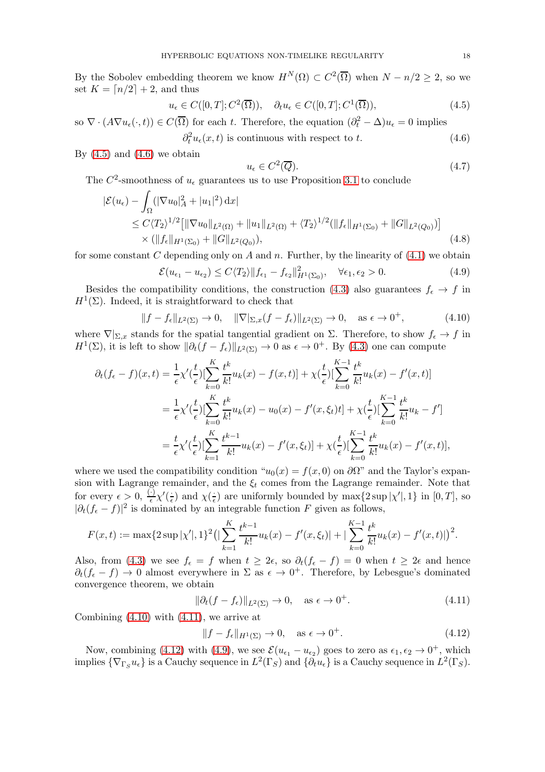By the Sobolev embedding theorem we know  $H^N(\Omega) \subset C^2(\overline{\Omega})$  when  $N - n/2 \geq 2$ , so we set  $K = \lfloor n/2 \rfloor + 2$ , and thus

<span id="page-17-0"></span>
$$
u_{\epsilon} \in C([0, T]; C^2(\overline{\Omega})), \quad \partial_t u_{\epsilon} \in C([0, T]; C^1(\overline{\Omega})), \tag{4.5}
$$

so  $\nabla \cdot (A \nabla u_{\epsilon}(\cdot, t)) \in C(\overline{\Omega})$  for each t. Therefore, the equation  $(\partial_t^2 - \Delta) u_{\epsilon} = 0$  implies

<span id="page-17-1"></span>
$$
\partial_t^2 u_\epsilon(x,t) \text{ is continuous with respect to } t. \tag{4.6}
$$

By  $(4.5)$  and  $(4.6)$  we obtain

<span id="page-17-6"></span>
$$
u_{\epsilon} \in C^2(\overline{Q}).\tag{4.7}
$$

The  $C^2$ -smoothness of  $u_{\epsilon}$  guarantees us to use Proposition [3.1](#page-8-6) to conclude

$$
\begin{split} |\mathcal{E}(u_{\epsilon}) - \int_{\Omega} (|\nabla u_{0}|_{A}^{2} + |u_{1}|^{2}) \, \mathrm{d}x| \\ &\leq C \langle T_{2} \rangle^{1/2} \big[ \|\nabla u_{0}\|_{L^{2}(\Omega)} + \|u_{1}\|_{L^{2}(\Omega)} + \langle T_{2} \rangle^{1/2} (\|f_{\epsilon}\|_{H^{1}(\Sigma_{0})} + \|G\|_{L^{2}(Q_{0})}) \big] \\ &\times (\|f_{\epsilon}\|_{H^{1}(\Sigma_{0})} + \|G\|_{L^{2}(Q_{0})}), \end{split} \tag{4.8}
$$

for some constant C depending only on A and n. Further, by the linearity of  $(4.1)$  we obtain

<span id="page-17-5"></span>
$$
\mathcal{E}(u_{\epsilon_1} - u_{\epsilon_2}) \le C \langle T_2 \rangle \|f_{\epsilon_1} - f_{\epsilon_2}\|_{H^1(\Sigma_0)}^2, \quad \forall \epsilon_1, \epsilon_2 > 0. \tag{4.9}
$$

Besides the compatibility conditions, the construction [\(4.3\)](#page-16-1) also guarantees  $f_{\epsilon} \to f$  in  $H^1(\Sigma)$ . Indeed, it is straightforward to check that

<span id="page-17-2"></span>
$$
||f - f_{\epsilon}||_{L^{2}(\Sigma)} \to 0, \quad ||\nabla|_{\Sigma, x}(f - f_{\epsilon})||_{L^{2}(\Sigma)} \to 0, \quad \text{as } \epsilon \to 0^{+}, \tag{4.10}
$$

where  $\nabla|_{\Sigma,x}$  stands for the spatial tangential gradient on  $\Sigma$ . Therefore, to show  $f_{\epsilon} \to f$  in  $H^1(\Sigma)$ , it is left to show  $\|\partial_t(f - f_\epsilon)\|_{L^2(\Sigma)} \to 0$  as  $\epsilon \to 0^+$ . By [\(4.3\)](#page-16-1) one can compute

$$
\partial_t (f_{\epsilon} - f)(x, t) = \frac{1}{\epsilon} \chi'(\frac{t}{\epsilon}) \left[ \sum_{k=0}^K \frac{t^k}{k!} u_k(x) - f(x, t) \right] + \chi(\frac{t}{\epsilon}) \left[ \sum_{k=0}^{K-1} \frac{t^k}{k!} u_k(x) - f'(x, t) \right]
$$
  
\n
$$
= \frac{1}{\epsilon} \chi'(\frac{t}{\epsilon}) \left[ \sum_{k=0}^K \frac{t^k}{k!} u_k(x) - u_0(x) - f'(x, \xi_t) t \right] + \chi(\frac{t}{\epsilon}) \left[ \sum_{k=0}^{K-1} \frac{t^k}{k!} u_k - f' \right]
$$
  
\n
$$
= \frac{t}{\epsilon} \chi'(\frac{t}{\epsilon}) \left[ \sum_{k=1}^K \frac{t^{k-1}}{k!} u_k(x) - f'(x, \xi_t) \right] + \chi(\frac{t}{\epsilon}) \left[ \sum_{k=0}^{K-1} \frac{t^k}{k!} u_k(x) - f'(x, t) \right],
$$

where we used the compatibility condition " $u_0(x) = f(x, 0)$  on  $\partial\Omega$ " and the Taylor's expansion with Lagrange remainder, and the  $\xi_t$  comes from the Lagrange remainder. Note that for every  $\epsilon > 0, \frac{(\cdot)}{\epsilon} \chi'(\frac{\cdot}{\epsilon})$  $\frac{1}{\epsilon}$ ) and  $\chi(\frac{1}{\epsilon})$  $\frac{1}{\epsilon}$ ) are uniformly bounded by  $\max\{2 \sup |\chi'|, 1\}$  in  $[0, T]$ , so  $|\partial_t(f_\epsilon - f)|^2$  is dominated by an integrable function F given as follows,

$$
F(x,t) := \max\{2\sup|\chi'|,1\}^2\big(\big|\sum_{k=1}^K\frac{t^{k-1}}{k!}u_k(x) - f'(x,\xi_t)\big| + \big|\sum_{k=0}^{K-1}\frac{t^k}{k!}u_k(x) - f'(x,t)\big|\big)^2.
$$

Also, from [\(4.3\)](#page-16-1) we see  $f_{\epsilon} = f$  when  $t \geq 2\epsilon$ , so  $\partial_t(f_{\epsilon} - f) = 0$  when  $t \geq 2\epsilon$  and hence  $\partial_t(f_\epsilon - f) \to 0$  almost everywhere in  $\Sigma$  as  $\epsilon \to 0^+$ . Therefore, by Lebesgue's dominated convergence theorem, we obtain

<span id="page-17-3"></span>
$$
\|\partial_t (f - f_\epsilon)\|_{L^2(\Sigma)} \to 0, \quad \text{as } \epsilon \to 0^+.
$$
\n(4.11)

Combining  $(4.10)$  with  $(4.11)$ , we arrive at

<span id="page-17-4"></span>
$$
||f - f_{\epsilon}||_{H^{1}(\Sigma)} \to 0, \quad \text{as } \epsilon \to 0^{+}.
$$
 (4.12)

Now, combining [\(4.12\)](#page-17-4) with [\(4.9\)](#page-17-5), we see  $\mathcal{E}(u_{\epsilon_1} - u_{\epsilon_2})$  goes to zero as  $\epsilon_1, \epsilon_2 \to 0^+$ , which implies  $\{\nabla_{\Gamma_S} u_{\epsilon}\}\)$  is a Cauchy sequence in  $L^2(\Gamma_S)$  and  $\{\partial_t u_{\epsilon}\}\)$  is a Cauchy sequence in  $L^2(\Gamma_S)$ .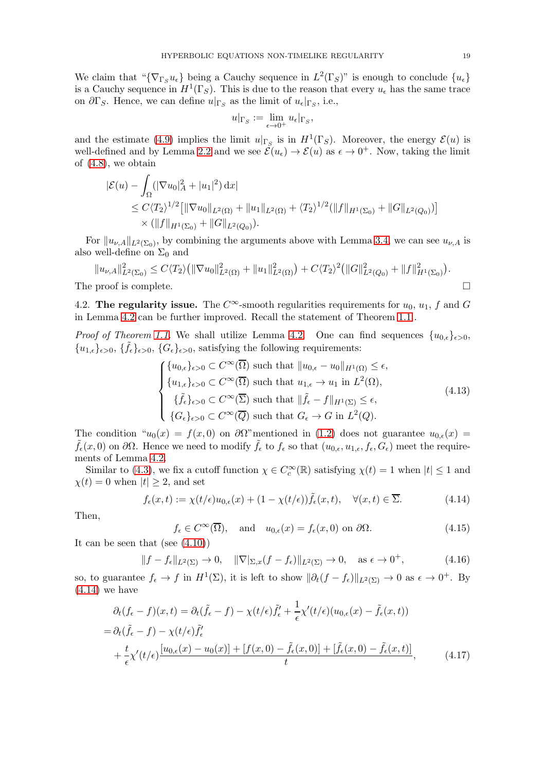We claim that " $\{\nabla_{\Gamma_S} u_{\epsilon}\}\$  being a Cauchy sequence in  $L^2(\Gamma_S)$ " is enough to conclude  $\{u_{\epsilon}\}\$ is a Cauchy sequence in  $H^1(\Gamma_S)$ . This is due to the reason that every  $u_{\epsilon}$  has the same trace on  $\partial \Gamma_S$ . Hence, we can define  $u|_{\Gamma_S}$  as the limit of  $u_{\epsilon}|_{\Gamma_S}$ , i.e.,

$$
u|_{\Gamma_S}:=\lim_{\epsilon\to 0^+}u_\epsilon|_{\Gamma_S},
$$

and the estimate [\(4.9\)](#page-17-5) implies the limit  $u|_{\Gamma_S}$  is in  $H^1(\Gamma_S)$ . Moreover, the energy  $\mathcal{E}(u)$  is well-defined and by Lemma [2.2](#page-6-1) and we see  $\mathcal{E}(u_\epsilon) \to \mathcal{E}(u)$  as  $\epsilon \to 0^+$ . Now, taking the limit of [\(4.8\)](#page-17-6), we obtain

$$
\begin{split} |\mathcal{E}(u) - \int_{\Omega} (|\nabla u_0|_A^2 + |u_1|^2) \, dx \\ &\leq C \langle T_2 \rangle^{1/2} \big[ \|\nabla u_0\|_{L^2(\Omega)} + \|u_1\|_{L^2(\Omega)} + \langle T_2 \rangle^{1/2} (\|f\|_{H^1(\Sigma_0)} + \|G\|_{L^2(Q_0)}) \big] \\ &\times (\|f\|_{H^1(\Sigma_0)} + \|G\|_{L^2(Q_0)}). \end{split}
$$

For  $||u_{\nu,A}||_{L^2(\Sigma_0)}$ , by combining the arguments above with Lemma [3.4,](#page-13-2) we can see  $u_{\nu,A}$  is also well-define on  $\Sigma_0$  and

$$
||u_{\nu,A}||_{L^{2}(\Sigma_0)}^{2} \leq C\langle T_{2}\rangle \big(||\nabla u_{0}||_{L^{2}(\Omega)}^{2} + ||u_{1}||_{L^{2}(\Omega)}^{2}\big) + C\langle T_{2}\rangle^{2} \big(||G||_{L^{2}(Q_{0})}^{2} + ||f||_{H^{1}(\Sigma_0)}^{2}\big).
$$
  
The proof is complete.

4.2. The regularity issue. The  $C^{\infty}$ -smooth regularities requirements for  $u_0, u_1, f$  and G in Lemma [4.2](#page-16-3) can be further improved. Recall the statement of Theorem [1.1.](#page-2-0).

*Proof of Theorem [1.1.](#page-2-0)* We shall utilize Lemma [4.2.](#page-16-3) One can find sequences  $\{u_{0,\epsilon}\}_{{\epsilon}>0}$ ,  ${u_{1,\epsilon}}_{\epsilon>0}, \{\tilde{f}_{\epsilon}\}_{\epsilon>0}, \{G_{\epsilon}\}_{\epsilon>0},$  satisfying the following requirements:

<span id="page-18-2"></span>
$$
\begin{cases} \{u_{0,\epsilon}\}_{\epsilon>0} \subset C^{\infty}(\overline{\Omega}) \text{ such that } \|u_{0,\epsilon} - u_0\|_{H^1(\Omega)} \leq \epsilon, \\ \{u_{1,\epsilon}\}_{\epsilon>0} \subset C^{\infty}(\overline{\Omega}) \text{ such that } u_{1,\epsilon} \to u_1 \text{ in } L^2(\Omega), \\ \{\tilde{f}_{\epsilon}\}_{\epsilon>0} \subset C^{\infty}(\overline{\Sigma}) \text{ such that } \|\tilde{f}_{\epsilon} - f\|_{H^1(\Sigma)} \leq \epsilon, \\ \{G_{\epsilon}\}_{\epsilon>0} \subset C^{\infty}(\overline{Q}) \text{ such that } G_{\epsilon} \to G \text{ in } L^2(Q). \end{cases}
$$
(4.13)

The condition " $u_0(x) = f(x, 0)$  on  $\partial\Omega$ "mentioned in [\(1.2\)](#page-0-1) does not guarantee  $u_{0,\epsilon}(x) =$  $\tilde{f}_{\epsilon}(x,0)$  on  $\partial\Omega$ . Hence we need to modify  $\tilde{f}_{\epsilon}$  to  $f_{\epsilon}$  so that  $(u_{0,\epsilon}, u_{1,\epsilon}, f_{\epsilon}, G_{\epsilon})$  meet the requirements of Lemma [4.2.](#page-16-3)

Similar to [\(4.3\)](#page-16-1), we fix a cutoff function  $\chi \in C_c^{\infty}(\mathbb{R})$  satisfying  $\chi(t) = 1$  when  $|t| \leq 1$  and  $\chi(t) = 0$  when  $|t| \geq 2$ , and set

<span id="page-18-0"></span>
$$
f_{\epsilon}(x,t) := \chi(t/\epsilon)u_{0,\epsilon}(x) + (1 - \chi(t/\epsilon))\tilde{f}_{\epsilon}(x,t), \quad \forall (x,t) \in \overline{\Sigma}.
$$
 (4.14)

Then,

<span id="page-18-3"></span><span id="page-18-1"></span>
$$
f_{\epsilon} \in C^{\infty}(\overline{\Omega}), \text{ and } u_{0,\epsilon}(x) = f_{\epsilon}(x,0) \text{ on } \partial\Omega.
$$
 (4.15)

It can be seen that (see  $(4.10)$ )

$$
||f - f_{\epsilon}||_{L^{2}(\Sigma)} \to 0, \quad ||\nabla|_{\Sigma, x}(f - f_{\epsilon})||_{L^{2}(\Sigma)} \to 0, \quad \text{as } \epsilon \to 0^{+}, \tag{4.16}
$$

so, to guarantee  $f_{\epsilon} \to f$  in  $H^{1}(\Sigma)$ , it is left to show  $\|\partial_{t}(f - f_{\epsilon})\|_{L^{2}(\Sigma)} \to 0$  as  $\epsilon \to 0^{+}$ . By  $(4.14)$  we have

$$
\partial_t (f_{\epsilon} - f)(x, t) = \partial_t (\tilde{f}_{\epsilon} - f) - \chi(t/\epsilon) \tilde{f}'_{\epsilon} + \frac{1}{\epsilon} \chi'(t/\epsilon) (u_{0,\epsilon}(x) - \tilde{f}_{\epsilon}(x, t))
$$
  
\n
$$
= \partial_t (\tilde{f}_{\epsilon} - f) - \chi(t/\epsilon) \tilde{f}'_{\epsilon}
$$
  
\n
$$
+ \frac{t}{\epsilon} \chi'(t/\epsilon) \frac{[u_{0,\epsilon}(x) - u_0(x)] + [f(x, 0) - \tilde{f}_{\epsilon}(x, 0)] + [\tilde{f}_{\epsilon}(x, 0) - \tilde{f}_{\epsilon}(x, t)]}{t},
$$
\n(4.17)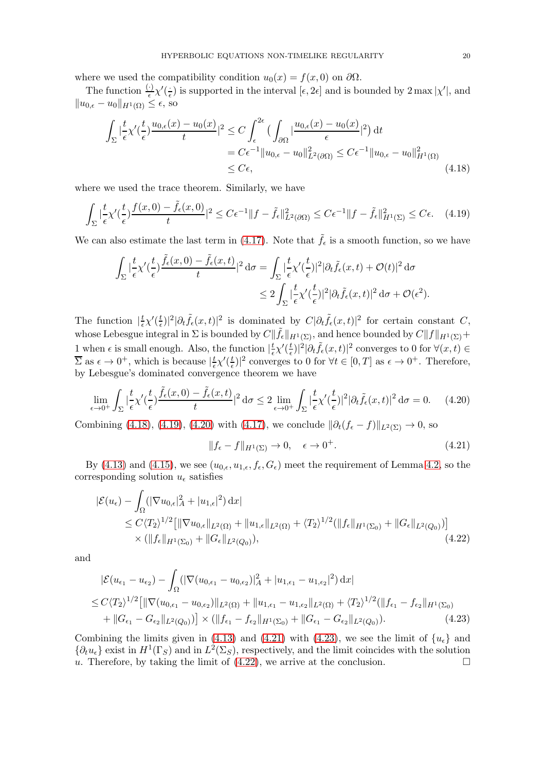where we used the compatibility condition  $u_0(x) = f(x, 0)$  on  $\partial\Omega$ .

The function  $\frac{(\cdot)}{\epsilon} \chi'(\frac{\cdot}{\epsilon})$  $\frac{1}{\epsilon}$ ) is supported in the interval  $[\epsilon, 2\epsilon]$  and is bounded by  $2 \max |\chi'|$ , and  $||u_{0,\epsilon}-u_0||_{H^1(\Omega)} \leq \epsilon$ , so

<span id="page-19-0"></span>
$$
\int_{\Sigma} \left| \frac{t}{\epsilon} \chi'(\frac{t}{\epsilon}) \frac{u_{0,\epsilon}(x) - u_0(x)}{t} \right|^2 \le C \int_{\epsilon}^{2\epsilon} \left( \int_{\partial \Omega} \left| \frac{u_{0,\epsilon}(x) - u_0(x)}{\epsilon} \right|^2 \right) dt
$$
\n
$$
= C \epsilon^{-1} \| u_{0,\epsilon} - u_0 \|_{L^2(\partial \Omega)}^2 \le C \epsilon^{-1} \| u_{0,\epsilon} - u_0 \|_{H^1(\Omega)}^2
$$
\n
$$
\le C \epsilon, \tag{4.18}
$$

where we used the trace theorem. Similarly, we have

$$
\int_{\Sigma} |\frac{t}{\epsilon} \chi'(\frac{t}{\epsilon}) \frac{f(x,0) - \tilde{f}_{\epsilon}(x,0)}{t}|^2 \le C\epsilon^{-1} \|f - \tilde{f}_{\epsilon}\|_{L^2(\partial\Omega)}^2 \le C\epsilon^{-1} \|f - \tilde{f}_{\epsilon}\|_{H^1(\Sigma)}^2 \le C\epsilon. \tag{4.19}
$$

We can also estimate the last term in [\(4.17\)](#page-18-1). Note that  $\tilde{f}_{\epsilon}$  is a smooth function, so we have

$$
\int_{\Sigma} \left| \frac{t}{\epsilon} \chi'(\frac{t}{\epsilon}) \frac{\tilde{f}_{\epsilon}(x,0) - \tilde{f}_{\epsilon}(x,t)}{t} \right|^{2} d\sigma = \int_{\Sigma} \left| \frac{t}{\epsilon} \chi'(\frac{t}{\epsilon}) \right|^{2} |\partial_{t} \tilde{f}_{\epsilon}(x,t) + \mathcal{O}(t)|^{2} d\sigma
$$
  

$$
\leq 2 \int_{\Sigma} \left| \frac{t}{\epsilon} \chi'(\frac{t}{\epsilon}) \right|^{2} |\partial_{t} \tilde{f}_{\epsilon}(x,t)|^{2} d\sigma + \mathcal{O}(\epsilon^{2}).
$$

The function  $\left| \frac{t}{\epsilon} \right|$  $\frac{t}{\epsilon}\chi'(\frac{t}{\epsilon}$  $\frac{t}{\epsilon}$ |<sup>2</sup>|∂t  $\tilde{f}_{\epsilon}(x,t)$ |<sup>2</sup> is dominated by  $C|\partial_t \tilde{f}_{\epsilon}(x,t)|^2$  for certain constant C, whose Lebesgue integral in  $\Sigma$  is bounded by  $C\|\tilde{f}_{\epsilon}\|_{H^1(\Sigma)}$ , and hence bounded by  $C\|f\|_{H^1(\Sigma)}+$ 1 when  $\epsilon$  is small enough. Also, the function  $\frac{t}{\epsilon}$  $\frac{t}{\epsilon}\chi'(\frac{t}{\epsilon}$  $\frac{t}{\epsilon})|^2 |\partial_t \tilde{f}_{\epsilon}(x,t)|^2$  converges to  $0$  for  $\forall (x,t) \in$  $\overline{\Sigma}$  as  $\epsilon \to 0^+$ , which is because  $\frac{t}{\epsilon}$  $\frac{t}{\epsilon}\chi'(\frac{t}{\epsilon}$  $\frac{t}{\epsilon}$ |<sup>2</sup> converges to 0 for  $\forall t \in [0, T]$  as  $\epsilon \to 0^+$ . Therefore, by Lebesgue's dominated convergence theorem we have

<span id="page-19-2"></span>
$$
\lim_{\epsilon \to 0^+} \int_{\Sigma} \left| \frac{t}{\epsilon} \chi'(\frac{t}{\epsilon}) \frac{\tilde{f}_{\epsilon}(x,0) - \tilde{f}_{\epsilon}(x,t)}{t} \right|^2 d\sigma \le 2 \lim_{\epsilon \to 0^+} \int_{\Sigma} \left| \frac{t}{\epsilon} \chi'(\frac{t}{\epsilon}) \right|^2 |\partial_t \tilde{f}_{\epsilon}(x,t)|^2 d\sigma = 0. \tag{4.20}
$$

Combining [\(4.18\)](#page-19-0), [\(4.19\)](#page-19-1), [\(4.20\)](#page-19-2) with [\(4.17\)](#page-18-1), we conclude  $\|\partial_t(f_{\epsilon} - f)\|_{L^2(\Sigma)} \to 0$ , so

<span id="page-19-5"></span><span id="page-19-4"></span><span id="page-19-3"></span><span id="page-19-1"></span>
$$
||f_{\epsilon} - f||_{H^{1}(\Sigma)} \to 0, \quad \epsilon \to 0^{+}.
$$
\n(4.21)

By [\(4.13\)](#page-18-2) and [\(4.15\)](#page-18-3), we see  $(u_{0,\epsilon}, u_{1,\epsilon}, f_{\epsilon}, G_{\epsilon})$  meet the requirement of Lemma [4.2,](#page-16-3) so the corresponding solution  $u_{\epsilon}$  satisfies

$$
\begin{split} |\mathcal{E}(u_{\epsilon}) - \int_{\Omega} (|\nabla u_{0,\epsilon}|_{A}^{2} + |u_{1,\epsilon}|^{2}) \, \mathrm{d}x] \\ &\leq C \langle T_{2} \rangle^{1/2} \left[ \|\nabla u_{0,\epsilon}\|_{L^{2}(\Omega)} + \|u_{1,\epsilon}\|_{L^{2}(\Omega)} + \langle T_{2} \rangle^{1/2} (\|f_{\epsilon}\|_{H^{1}(\Sigma_{0})} + \|G_{\epsilon}\|_{L^{2}(Q_{0})}) \right] \\ &\times (\|f_{\epsilon}\|_{H^{1}(\Sigma_{0})} + \|G_{\epsilon}\|_{L^{2}(Q_{0})}), \end{split} \tag{4.22}
$$

and

$$
|\mathcal{E}(u_{\epsilon_1} - u_{\epsilon_2}) - \int_{\Omega} (|\nabla(u_{0,\epsilon_1} - u_{0,\epsilon_2})|_{A}^{2} + |u_{1,\epsilon_1} - u_{1,\epsilon_2}|^{2}) dx|
$$
  
\n
$$
\leq C \langle T_2 \rangle^{1/2} [\|\nabla(u_{0,\epsilon_1} - u_{0,\epsilon_2})\|_{L^2(\Omega)} + \|u_{1,\epsilon_1} - u_{1,\epsilon_2}\|_{L^2(\Omega)} + \langle T_2 \rangle^{1/2} (\|f_{\epsilon_1} - f_{\epsilon_2}\|_{H^1(\Sigma_0)} + \|G_{\epsilon_1} - G_{\epsilon_2}\|_{L^2(Q_0)})] \times (\|f_{\epsilon_1} - f_{\epsilon_2}\|_{H^1(\Sigma_0)} + \|G_{\epsilon_1} - G_{\epsilon_2}\|_{L^2(Q_0)}). \tag{4.23}
$$

Combining the limits given in [\(4.13\)](#page-18-2) and [\(4.21\)](#page-19-3) with [\(4.23\)](#page-19-4), we see the limit of  $\{u_{\epsilon}\}\$  and  $\{\partial_t u_{\epsilon}\}\)$  exist in  $H^1(\Gamma_S)$  and in  $L^2(\Sigma_S)$ , respectively, and the limit coincides with the solution u. Therefore, by taking the limit of  $(4.22)$ , we arrive at the conclusion.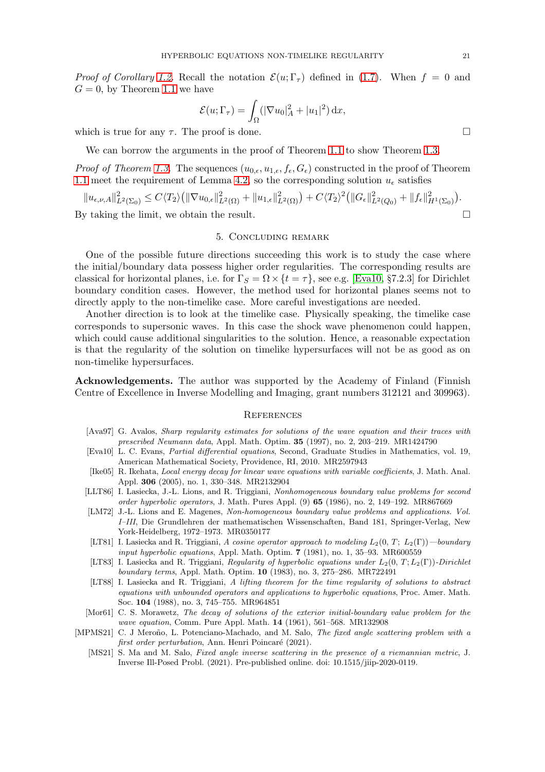*Proof of Corollary [1.2.](#page-3-3)* Recall the notation  $\mathcal{E}(u; \Gamma_\tau)$  defined in [\(1.7\)](#page-3-5). When  $f = 0$  and  $G = 0$ , by Theorem [1.1](#page-2-0) we have

$$
\mathcal{E}(u; \Gamma_\tau) = \int_{\Omega} (|\nabla u_0|_A^2 + |u_1|^2) \, \mathrm{d}x,
$$

which is true for any  $\tau$ . The proof is done.

We can borrow the arguments in the proof of Theorem [1.1](#page-2-0) to show Theorem [1.3.](#page-3-4)

*Proof of Theorem [1.3.](#page-3-4)* The sequences  $(u_{0,\epsilon}, u_{1,\epsilon}, f_{\epsilon}, G_{\epsilon})$  constructed in the proof of Theorem [1.1](#page-2-0) meet the requirement of Lemma [4.2,](#page-16-3) so the corresponding solution  $u_{\epsilon}$  satisfies

 $||u_{\epsilon,\nu,A}||_{L^{2}(\Sigma_{0})}^{2} \leq C\langle T_{2}\rangle \big(||\nabla u_{0,\epsilon}||_{L^{2}(\Omega)}^{2} + ||u_{1,\epsilon}||_{L^{2}(\Omega)}^{2}\big) + C\langle T_{2}\rangle^{2} \big(||G_{\epsilon}||_{L^{2}(Q_{0})}^{2} + ||f_{\epsilon}||_{H^{1}(\Sigma_{0})}^{2}\big).$ 

<span id="page-20-8"></span>By taking the limit, we obtain the result.  $\square$ 

## 5. Concluding remark

One of the possible future directions succeeding this work is to study the case where the initial/boundary data possess higher order regularities. The corresponding results are classical for horizontal planes, i.e. for  $\Gamma_S = \Omega \times \{t = \tau\}$ , see e.g. [\[Eva10,](#page-20-11) §7.2.3] for Dirichlet boundary condition cases. However, the method used for horizontal planes seems not to directly apply to the non-timelike case. More careful investigations are needed.

Another direction is to look at the timelike case. Physically speaking, the timelike case corresponds to supersonic waves. In this case the shock wave phenomenon could happen, which could cause additional singularities to the solution. Hence, a reasonable expectation is that the regularity of the solution on timelike hypersurfaces will not be as good as on non-timelike hypersurfaces.

Acknowledgements. The author was supported by the Academy of Finland (Finnish Centre of Excellence in Inverse Modelling and Imaging, grant numbers 312121 and 309963).

### **REFERENCES**

- <span id="page-20-4"></span>[Ava97] G. Avalos, Sharp regularity estimates for solutions of the wave equation and their traces with prescribed Neumann data, Appl. Math. Optim. 35 (1997), no. 2, 203–219. MR1424790
- <span id="page-20-11"></span>[Eva10] L. C. Evans, Partial differential equations, Second, Graduate Studies in Mathematics, vol. 19, American Mathematical Society, Providence, RI, 2010. MR2597943
- <span id="page-20-10"></span>[Ike05] R. Ikehata, Local energy decay for linear wave equations with variable coefficients, J. Math. Anal. Appl. 306 (2005), no. 1, 330–348. MR2132904
- <span id="page-20-0"></span>[LLT86] I. Lasiecka, J.-L. Lions, and R. Triggiani, Nonhomogeneous boundary value problems for second order hyperbolic operators, J. Math. Pures Appl. (9) 65 (1986), no. 2, 149–192. MR867669
- <span id="page-20-3"></span>[LM72] J.-L. Lions and E. Magenes, Non-homogeneous boundary value problems and applications. Vol. I–III, Die Grundlehren der mathematischen Wissenschaften, Band 181, Springer-Verlag, New York-Heidelberg, 1972–1973. MR0350177
- <span id="page-20-1"></span>[LT81] I. Lasiecka and R. Triggiani, A cosine operator approach to modeling  $L_2(0, T; L_2(\Gamma))$ —boundary input hyperbolic equations, Appl. Math. Optim. 7 (1981), no. 1, 35–93. MR600559
- <span id="page-20-2"></span>[LT83] I. Lasiecka and R. Triggiani, Regularity of hyperbolic equations under  $L_2(0, T; L_2(\Gamma))$ -Dirichlet boundary terms, Appl. Math. Optim. 10 (1983), no. 3, 275–286. MR722491
- <span id="page-20-5"></span>[LT88] I. Lasiecka and R. Triggiani, A lifting theorem for the time regularity of solutions to abstract equations with unbounded operators and applications to hyperbolic equations, Proc. Amer. Math. Soc. 104 (1988), no. 3, 745–755. MR964851
- <span id="page-20-9"></span>[Mor61] C. S. Morawetz, The decay of solutions of the exterior initial-boundary value problem for the wave equation, Comm. Pure Appl. Math. 14 (1961), 561–568. MR132908
- <span id="page-20-7"></span><span id="page-20-6"></span>[MPMS21] C. J Meroño, L. Potenciano-Machado, and M. Salo, The fixed angle scattering problem with a first order perturbation, Ann. Henri Poincaré (2021).
	- [MS21] S. Ma and M. Salo, Fixed angle inverse scattering in the presence of a riemannian metric, J. Inverse Ill-Posed Probl. (2021). Pre-published online. doi: 10.1515/jiip-2020-0119.